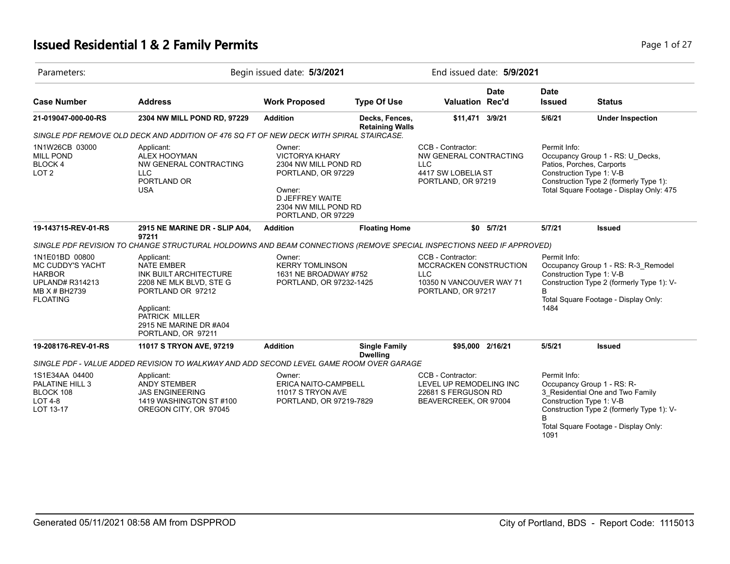# **Issued Residential 1 & 2 Family Permits Page 1 of 27 Page 1 of 27**

| Parameters:                                                                                                       |                                                                                                                                                                                           | Begin issued date: 5/3/2021                                                                                                                                     |                                          |                                                                                                             | End issued date: 5/9/2021 |                                                                                                                                                                                                 |                                                                                                                                                                                 |  |
|-------------------------------------------------------------------------------------------------------------------|-------------------------------------------------------------------------------------------------------------------------------------------------------------------------------------------|-----------------------------------------------------------------------------------------------------------------------------------------------------------------|------------------------------------------|-------------------------------------------------------------------------------------------------------------|---------------------------|-------------------------------------------------------------------------------------------------------------------------------------------------------------------------------------------------|---------------------------------------------------------------------------------------------------------------------------------------------------------------------------------|--|
| <b>Case Number</b>                                                                                                | <b>Address</b>                                                                                                                                                                            | <b>Work Proposed</b>                                                                                                                                            | <b>Type Of Use</b>                       | Valuation Rec'd                                                                                             | <b>Date</b>               | <b>Date</b><br><b>Issued</b>                                                                                                                                                                    | <b>Status</b>                                                                                                                                                                   |  |
| 21-019047-000-00-RS                                                                                               | 2304 NW MILL POND RD, 97229                                                                                                                                                               | <b>Addition</b>                                                                                                                                                 | Decks, Fences,<br><b>Retaining Walls</b> | \$11,471                                                                                                    | 3/9/21                    | 5/6/21                                                                                                                                                                                          | <b>Under Inspection</b>                                                                                                                                                         |  |
|                                                                                                                   | SINGLE PDF REMOVE OLD DECK AND ADDITION OF 476 SQ FT OF NEW DECK WITH SPIRAL STAIRCASE.                                                                                                   |                                                                                                                                                                 |                                          |                                                                                                             |                           |                                                                                                                                                                                                 |                                                                                                                                                                                 |  |
| 1N1W26CB 03000<br><b>MILL POND</b><br>BLOCK 4<br>LOT <sub>2</sub>                                                 | Applicant:<br><b>ALEX HOOYMAN</b><br>NW GENERAL CONTRACTING<br><b>LLC</b><br>PORTLAND OR<br><b>USA</b>                                                                                    | Owner:<br><b>VICTORYA KHARY</b><br>2304 NW MILL POND RD<br>PORTLAND, OR 97229<br>Owner:<br><b>D JEFFREY WAITE</b><br>2304 NW MILL POND RD<br>PORTLAND, OR 97229 |                                          | CCB - Contractor:<br>NW GENERAL CONTRACTING<br><b>LLC</b><br>4417 SW LOBELIA ST<br>PORTLAND, OR 97219       |                           | Permit Info:<br>Occupancy Group 1 - RS: U Decks,<br>Patios, Porches, Carports<br>Construction Type 1: V-B<br>Construction Type 2 (formerly Type 1):<br>Total Square Footage - Display Only: 475 |                                                                                                                                                                                 |  |
| 19-143715-REV-01-RS                                                                                               | 2915 NE MARINE DR - SLIP A04,                                                                                                                                                             | <b>Addition</b>                                                                                                                                                 | <b>Floating Home</b>                     | \$0                                                                                                         | 5/7/21                    | 5/7/21                                                                                                                                                                                          | <b>Issued</b>                                                                                                                                                                   |  |
|                                                                                                                   | 97211<br>SINGLE PDF REVISION TO CHANGE STRUCTURAL HOLDOWNS AND BEAM CONNECTIONS (REMOVE SPECIAL INSPECTIONS NEED IF APPROVED)                                                             |                                                                                                                                                                 |                                          |                                                                                                             |                           |                                                                                                                                                                                                 |                                                                                                                                                                                 |  |
| 1N1E01BD 00800<br>MC CUDDY'S YACHT<br><b>HARBOR</b><br><b>UPLAND# R314213</b><br>MB X # BH2739<br><b>FLOATING</b> | Applicant:<br><b>NATE EMBER</b><br>INK BUILT ARCHITECTURE<br>2208 NE MLK BLVD, STE G<br>PORTLAND OR 97212<br>Applicant:<br>PATRICK MILLER<br>2915 NE MARINE DR #A04<br>PORTLAND, OR 97211 | Owner:<br><b>KERRY TOMLINSON</b><br>1631 NE BROADWAY #752<br>PORTLAND, OR 97232-1425                                                                            |                                          | CCB - Contractor:<br>MCCRACKEN CONSTRUCTION<br><b>LLC</b><br>10350 N VANCOUVER WAY 71<br>PORTLAND, OR 97217 |                           | Permit Info:<br>Occupancy Group 1 - RS: R-3 Remodel<br>Construction Type 1: V-B<br>Construction Type 2 (formerly Type 1): V-<br>B.<br>Total Square Footage - Display Only:<br>1484              |                                                                                                                                                                                 |  |
| 19-208176-REV-01-RS                                                                                               | 11017 S TRYON AVE, 97219                                                                                                                                                                  | <b>Addition</b>                                                                                                                                                 | <b>Single Family</b><br><b>Dwelling</b>  | \$95,000 2/16/21                                                                                            |                           | 5/5/21                                                                                                                                                                                          | <b>Issued</b>                                                                                                                                                                   |  |
|                                                                                                                   | SINGLE PDF - VALUE ADDED REVISION TO WALKWAY AND ADD SECOND LEVEL GAME ROOM OVER GARAGE                                                                                                   |                                                                                                                                                                 |                                          |                                                                                                             |                           |                                                                                                                                                                                                 |                                                                                                                                                                                 |  |
| 1S1E34AA 04400<br>PALATINE HILL 3<br>BLOCK 108<br><b>LOT 4-8</b><br>LOT 13-17                                     | Applicant:<br><b>ANDY STEMBER</b><br><b>JAS ENGINEERING</b><br>1419 WASHINGTON ST #100<br>OREGON CITY, OR 97045                                                                           | Owner:<br><b>ERICA NAITO-CAMPBELL</b><br>11017 S TRYON AVE<br>PORTLAND, OR 97219-7829                                                                           |                                          | CCB - Contractor:<br>LEVEL UP REMODELING INC<br>22681 S FERGUSON RD<br>BEAVERCREEK, OR 97004                |                           | Permit Info:<br>B.<br>1091                                                                                                                                                                      | Occupancy Group 1 - RS: R-<br>3 Residential One and Two Family<br>Construction Type 1: V-B<br>Construction Type 2 (formerly Type 1): V-<br>Total Square Footage - Display Only: |  |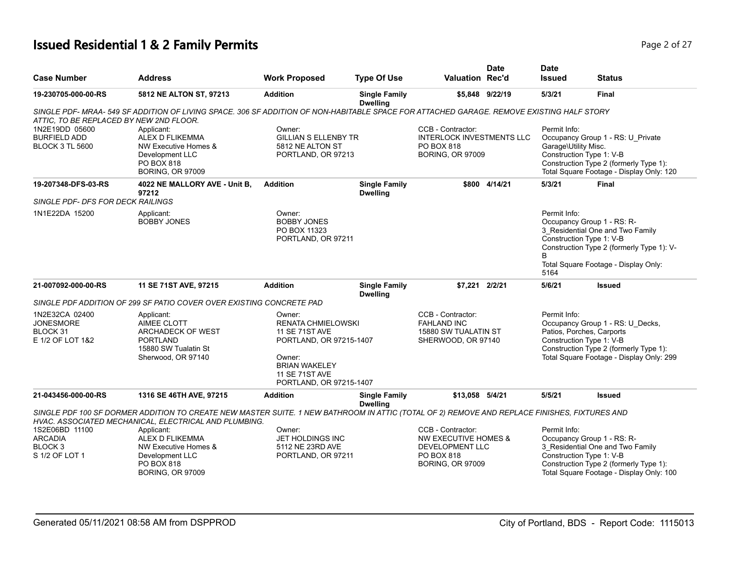# **Issued Residential 1 & 2 Family Permits Page 1 and 20 If 27 and 20 If 27 All 20 If 27 All 20 If 27 All 20 If 27 All 20 If 27 All 20 If 27 All 20 If 27 All 20 If 27 All 20 If 27 All 20 If 27 All 20 If 27 All 20 If 27 All**

|                                                                          |                                                                                                                                                                                                       |                                                                                                                                                                 |                                         |                                                                                                                  | <b>Date</b>     | <b>Date</b>                                                                                                                                                                                     |                                                                                                                                                                                  |
|--------------------------------------------------------------------------|-------------------------------------------------------------------------------------------------------------------------------------------------------------------------------------------------------|-----------------------------------------------------------------------------------------------------------------------------------------------------------------|-----------------------------------------|------------------------------------------------------------------------------------------------------------------|-----------------|-------------------------------------------------------------------------------------------------------------------------------------------------------------------------------------------------|----------------------------------------------------------------------------------------------------------------------------------------------------------------------------------|
| <b>Case Number</b>                                                       | <b>Address</b>                                                                                                                                                                                        | <b>Work Proposed</b>                                                                                                                                            | <b>Type Of Use</b>                      | Valuation Rec'd                                                                                                  |                 | <b>Issued</b>                                                                                                                                                                                   | <b>Status</b>                                                                                                                                                                    |
| 19-230705-000-00-RS                                                      | 5812 NE ALTON ST, 97213                                                                                                                                                                               | <b>Addition</b>                                                                                                                                                 | <b>Single Family</b><br><b>Dwelling</b> |                                                                                                                  | \$5.848 9/22/19 | 5/3/21                                                                                                                                                                                          | <b>Final</b>                                                                                                                                                                     |
| ATTIC, TO BE REPLACED BY NEW 2ND FLOOR.                                  | SINGLE PDF- MRAA- 549 SF ADDITION OF LIVING SPACE. 306 SF ADDITION OF NON-HABITABLE SPACE FOR ATTACHED GARAGE. REMOVE EXISTING HALF STORY                                                             |                                                                                                                                                                 |                                         |                                                                                                                  |                 |                                                                                                                                                                                                 |                                                                                                                                                                                  |
| 1N2E19DD 05600<br><b>BURFIELD ADD</b><br><b>BLOCK 3 TL 5600</b>          | Applicant:<br>ALEX D FLIKEMMA<br>NW Executive Homes &<br>Development LLC<br>PO BOX 818<br><b>BORING, OR 97009</b>                                                                                     | Owner:<br><b>GILLIAN S ELLENBY TR</b><br>5812 NE ALTON ST<br>PORTLAND, OR 97213                                                                                 |                                         | CCB - Contractor:<br>INTERLOCK INVESTMENTS LLC<br>PO BOX 818<br><b>BORING, OR 97009</b>                          |                 | Permit Info:<br>Occupancy Group 1 - RS: U_Private<br>Garage\Utility Misc.<br>Construction Type 1: V-B<br>Construction Type 2 (formerly Type 1):<br>Total Square Footage - Display Only: 120     |                                                                                                                                                                                  |
| 19-207348-DFS-03-RS                                                      | 4022 NE MALLORY AVE - Unit B,<br>97212                                                                                                                                                                | <b>Addition</b>                                                                                                                                                 | <b>Single Family</b><br><b>Dwelling</b> |                                                                                                                  | \$800 4/14/21   | 5/3/21                                                                                                                                                                                          | <b>Final</b>                                                                                                                                                                     |
| SINGLE PDF- DFS FOR DECK RAILINGS                                        |                                                                                                                                                                                                       |                                                                                                                                                                 |                                         |                                                                                                                  |                 |                                                                                                                                                                                                 |                                                                                                                                                                                  |
| 1N1E22DA 15200                                                           | Applicant:<br><b>BOBBY JONES</b>                                                                                                                                                                      | Owner:<br><b>BOBBY JONES</b><br>PO BOX 11323<br>PORTLAND, OR 97211                                                                                              |                                         |                                                                                                                  |                 | Permit Info:<br>B                                                                                                                                                                               | Occupancy Group 1 - RS: R-<br>3 Residential One and Two Family<br>Construction Type 1: V-B<br>Construction Type 2 (formerly Type 1): V-<br>Total Square Footage - Display Only:  |
| 21-007092-000-00-RS                                                      | 11 SE 71ST AVE, 97215                                                                                                                                                                                 | <b>Addition</b>                                                                                                                                                 | <b>Single Family</b>                    | \$7.221                                                                                                          | 2/2/21          | 5164<br>5/6/21                                                                                                                                                                                  | <b>Issued</b>                                                                                                                                                                    |
|                                                                          |                                                                                                                                                                                                       |                                                                                                                                                                 | <b>Dwelling</b>                         |                                                                                                                  |                 |                                                                                                                                                                                                 |                                                                                                                                                                                  |
|                                                                          | SINGLE PDF ADDITION OF 299 SF PATIO COVER OVER EXISTING CONCRETE PAD                                                                                                                                  |                                                                                                                                                                 |                                         |                                                                                                                  |                 |                                                                                                                                                                                                 |                                                                                                                                                                                  |
| 1N2E32CA 02400<br><b>JONESMORE</b><br>BLOCK 31<br>E 1/2 OF LOT 1&2       | Applicant:<br>AIMEE CLOTT<br><b>ARCHADECK OF WEST</b><br><b>PORTLAND</b><br>15880 SW Tualatin St<br>Sherwood, OR 97140                                                                                | Owner:<br><b>RENATA CHMIELOWSKI</b><br>11 SE 71ST AVE<br>PORTLAND, OR 97215-1407<br>Owner:<br><b>BRIAN WAKELEY</b><br>11 SE 71ST AVE<br>PORTLAND, OR 97215-1407 |                                         | CCB - Contractor:<br><b>FAHLAND INC</b><br>15880 SW TUALATIN ST<br>SHERWOOD, OR 97140                            |                 | Permit Info:<br>Occupancy Group 1 - RS: U Decks,<br>Patios, Porches, Carports<br>Construction Type 1: V-B<br>Construction Type 2 (formerly Type 1):<br>Total Square Footage - Display Only: 299 |                                                                                                                                                                                  |
| 21-043456-000-00-RS                                                      | 1316 SE 46TH AVE, 97215                                                                                                                                                                               | <b>Addition</b>                                                                                                                                                 | <b>Single Family</b><br><b>Dwelling</b> | \$13,058 5/4/21                                                                                                  |                 | 5/5/21                                                                                                                                                                                          | <b>Issued</b>                                                                                                                                                                    |
|                                                                          | SINGLE PDF 100 SF DORMER ADDITION TO CREATE NEW MASTER SUITE. 1 NEW BATHROOM IN ATTIC (TOTAL OF 2) REMOVE AND REPLACE FINISHES, FIXTURES AND<br>HVAC. ASSOCIATED MECHANICAL, ELECTRICAL AND PLUMBING. |                                                                                                                                                                 |                                         |                                                                                                                  |                 |                                                                                                                                                                                                 |                                                                                                                                                                                  |
| 1S2E06BD 11100<br><b>ARCADIA</b><br>BLOCK <sub>3</sub><br>S 1/2 OF LOT 1 | Applicant:<br><b>ALEX D FLIKEMMA</b><br>NW Executive Homes &<br>Development LLC<br>PO BOX 818<br><b>BORING, OR 97009</b>                                                                              | Owner:<br>JET HOLDINGS INC<br>5112 NE 23RD AVE<br>PORTLAND, OR 97211                                                                                            |                                         | CCB - Contractor:<br><b>NW EXECUTIVE HOMES &amp;</b><br>DEVELOPMENT LLC<br>PO BOX 818<br><b>BORING, OR 97009</b> |                 | Permit Info:                                                                                                                                                                                    | Occupancy Group 1 - RS: R-<br>3_Residential One and Two Family<br>Construction Type 1: V-B<br>Construction Type 2 (formerly Type 1):<br>Total Square Footage - Display Only: 100 |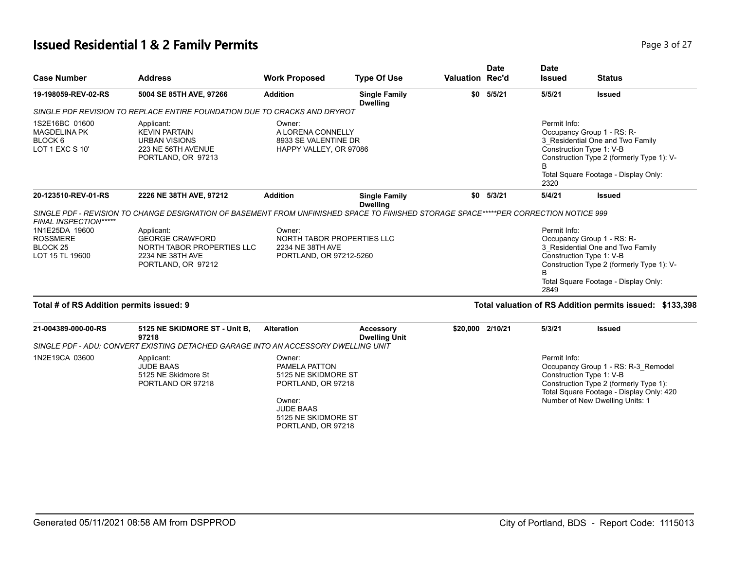#### **Issued Residential 1 & 2 Family Permits Page 1 and 27** Page 3 of 27

| <b>Case Number</b>                                                                                   | <b>Address</b>                                                                                                                                                                                                                                        | <b>Work Proposed</b>                                                                               | <b>Type Of Use</b>                       | <b>Valuation Rec'd</b> | <b>Date</b> | <b>Date</b><br><b>Issued</b>         | <b>Status</b>                                                                                                                                                                            |
|------------------------------------------------------------------------------------------------------|-------------------------------------------------------------------------------------------------------------------------------------------------------------------------------------------------------------------------------------------------------|----------------------------------------------------------------------------------------------------|------------------------------------------|------------------------|-------------|--------------------------------------|------------------------------------------------------------------------------------------------------------------------------------------------------------------------------------------|
| 19-198059-REV-02-RS                                                                                  | 5004 SE 85TH AVE, 97266                                                                                                                                                                                                                               | <b>Addition</b>                                                                                    | <b>Single Family</b><br><b>Dwelling</b>  |                        | \$0 5/5/21  | 5/5/21                               | <b>Issued</b>                                                                                                                                                                            |
|                                                                                                      | SINGLE PDF REVISION TO REPLACE ENTIRE FOUNDATION DUE TO CRACKS AND DRYROT                                                                                                                                                                             |                                                                                                    |                                          |                        |             |                                      |                                                                                                                                                                                          |
| 1S2E16BC 01600<br><b>MAGDELINA PK</b><br>BLOCK 6<br>LOT 1 EXC S 10'                                  | Applicant:<br><b>KEVIN PARTAIN</b><br><b>URBAN VISIONS</b><br>223 NE 56TH AVENUE<br>PORTLAND, OR 97213                                                                                                                                                | Owner:<br>A LORENA CONNELLY<br>8933 SE VALENTINE DR<br>HAPPY VALLEY, OR 97086                      |                                          |                        |             | Permit Info:<br>B<br>2320            | Occupancy Group 1 - RS: R-<br>3 Residential One and Two Family<br>Construction Type 1: V-B<br>Construction Type 2 (formerly Type 1): V-<br>Total Square Footage - Display Only:          |
| 20-123510-REV-01-RS                                                                                  | 2226 NE 38TH AVE, 97212                                                                                                                                                                                                                               | <b>Addition</b>                                                                                    | <b>Single Family</b><br><b>Dwelling</b>  | \$0                    | 5/3/21      | 5/4/21                               | <b>Issued</b>                                                                                                                                                                            |
| FINAL INSPECTION*****<br>1N1E25DA 19600<br><b>ROSSMERE</b><br>BLOCK <sub>25</sub><br>LOT 15 TL 19600 | SINGLE PDF - REVISION TO CHANGE DESIGNATION OF BASEMENT FROM UNFINISHED SPACE TO FINISHED STORAGE SPACE*****PER CORRECTION NOTICE 999<br>Applicant:<br><b>GEORGE CRAWFORD</b><br>NORTH TABOR PROPERTIES LLC<br>2234 NE 38TH AVE<br>PORTLAND, OR 97212 | Owner:<br>NORTH TABOR PROPERTIES LLC<br>2234 NE 38TH AVE<br>PORTLAND, OR 97212-5260                |                                          |                        |             | Permit Info:<br><sub>R</sub><br>2849 | Occupancy Group 1 - RS: R-<br>3_Residential One and Two Family<br>Construction Type 1: V-B<br>Construction Type 2 (formerly Type 1): V-<br>Total Square Footage - Display Only:          |
| Total # of RS Addition permits issued: 9                                                             |                                                                                                                                                                                                                                                       |                                                                                                    |                                          |                        |             |                                      | Total valuation of RS Addition permits issued: \$133,398                                                                                                                                 |
| 21-004389-000-00-RS                                                                                  | 5125 NE SKIDMORE ST - Unit B.<br>97218                                                                                                                                                                                                                | <b>Alteration</b>                                                                                  | <b>Accessory</b><br><b>Dwelling Unit</b> | \$20,000 2/10/21       |             | 5/3/21                               | <b>Issued</b>                                                                                                                                                                            |
|                                                                                                      | SINGLE PDF - ADU: CONVERT EXISTING DETACHED GARAGE INTO AN ACCESSORY DWELLING UNIT                                                                                                                                                                    |                                                                                                    |                                          |                        |             |                                      |                                                                                                                                                                                          |
| 1N2E19CA 03600                                                                                       | Applicant:<br><b>JUDE BAAS</b><br>5125 NE Skidmore St<br>PORTLAND OR 97218                                                                                                                                                                            | Owner:<br>PAMELA PATTON<br>5125 NE SKIDMORE ST<br>PORTLAND, OR 97218<br>Owner:<br><b>JUDE BAAS</b> |                                          |                        |             | Permit Info:                         | Occupancy Group 1 - RS: R-3 Remodel<br>Construction Type 1: V-B<br>Construction Type 2 (formerly Type 1):<br>Total Square Footage - Display Only: 420<br>Number of New Dwelling Units: 1 |

5125 NE SKIDMORE ST PORTLAND, OR 97218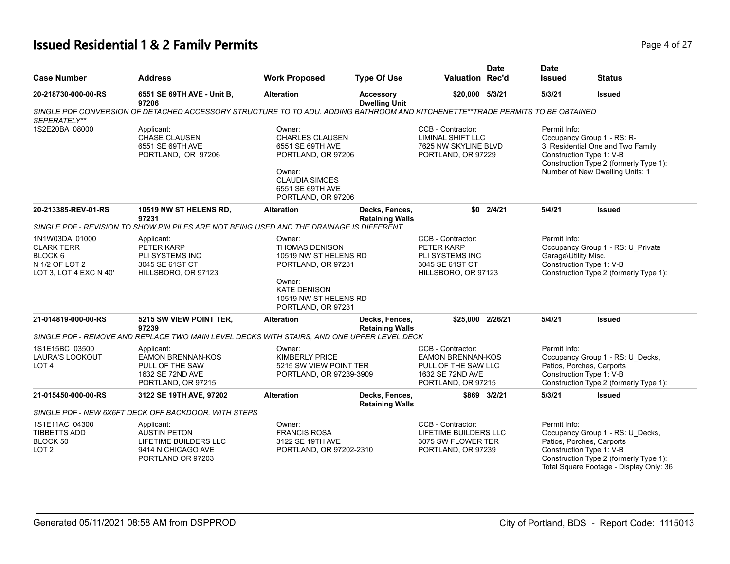# **Issued Residential 1 & 2 Family Permits Page 1 of 27 Page 4 of 27**

| <b>Case Number</b>                                                                         | <b>Address</b>                                                                                                                 | <b>Work Proposed</b>                                                                                                                                    | <b>Type Of Use</b>                       | <b>Valuation Rec'd</b>                                                                                         | <b>Date</b>   | <b>Date</b><br><b>Issued</b>         | <b>Status</b>                                                                                                                                                                  |
|--------------------------------------------------------------------------------------------|--------------------------------------------------------------------------------------------------------------------------------|---------------------------------------------------------------------------------------------------------------------------------------------------------|------------------------------------------|----------------------------------------------------------------------------------------------------------------|---------------|--------------------------------------|--------------------------------------------------------------------------------------------------------------------------------------------------------------------------------|
| 20-218730-000-00-RS                                                                        | 6551 SE 69TH AVE - Unit B,<br>97206                                                                                            | <b>Alteration</b>                                                                                                                                       | Accessory<br><b>Dwelling Unit</b>        | \$20,000 5/3/21                                                                                                |               | 5/3/21                               | <b>Issued</b>                                                                                                                                                                  |
| SEPERATELY**                                                                               | SINGLE PDF CONVERSION OF DETACHED ACCESSORY STRUCTURE TO TO ADU. ADDING BATHROOM AND KITCHENETTE**TRADE PERMITS TO BE OBTAINED |                                                                                                                                                         |                                          |                                                                                                                |               |                                      |                                                                                                                                                                                |
| 1S2E20BA 08000                                                                             | Applicant:<br><b>CHASE CLAUSEN</b><br>6551 SE 69TH AVE<br>PORTLAND, OR 97206                                                   | Owner:<br><b>CHARLES CLAUSEN</b><br>6551 SE 69TH AVE<br>PORTLAND, OR 97206<br>Owner:<br><b>CLAUDIA SIMOES</b><br>6551 SE 69TH AVE<br>PORTLAND, OR 97206 |                                          | CCB - Contractor:<br><b>LIMINAL SHIFT LLC</b><br>7625 NW SKYLINE BLVD<br>PORTLAND, OR 97229                    |               | Permit Info:                         | Occupancy Group 1 - RS: R-<br>3_Residential One and Two Family<br>Construction Type 1: V-B<br>Construction Type 2 (formerly Type 1):<br>Number of New Dwelling Units: 1        |
| 20-213385-REV-01-RS                                                                        | 10519 NW ST HELENS RD,<br>97231                                                                                                | <b>Alteration</b>                                                                                                                                       | Decks, Fences,<br><b>Retaining Walls</b> |                                                                                                                | $$0$ $2/4/21$ | 5/4/21                               | <b>Issued</b>                                                                                                                                                                  |
|                                                                                            | SINGLE PDF - REVISION TO SHOW PIN PILES ARE NOT BEING USED AND THE DRAINAGE IS DIFFERENT                                       |                                                                                                                                                         |                                          |                                                                                                                |               |                                      |                                                                                                                                                                                |
| 1N1W03DA 01000<br><b>CLARK TERR</b><br>BLOCK 6<br>N 1/2 OF LOT 2<br>LOT 3, LOT 4 EXC N 40' | Applicant:<br>PETER KARP<br>PLI SYSTEMS INC<br>3045 SE 61ST CT<br>HILLSBORO, OR 97123                                          | Owner:<br>THOMAS DENISON<br>10519 NW ST HELENS RD<br>PORTLAND, OR 97231<br>Owner:<br><b>KATE DENISON</b><br>10519 NW ST HELENS RD                       |                                          | CCB - Contractor:<br>PETER KARP<br>PLI SYSTEMS INC<br>3045 SE 61ST CT<br>HILLSBORO, OR 97123                   |               | Permit Info:<br>Garage\Utility Misc. | Occupancy Group 1 - RS: U_Private<br>Construction Type 1: V-B<br>Construction Type 2 (formerly Type 1):                                                                        |
|                                                                                            |                                                                                                                                | PORTLAND, OR 97231                                                                                                                                      |                                          |                                                                                                                |               |                                      |                                                                                                                                                                                |
| 21-014819-000-00-RS                                                                        | 5215 SW VIEW POINT TER,<br>97239                                                                                               | <b>Alteration</b>                                                                                                                                       | Decks, Fences,<br><b>Retaining Walls</b> | \$25,000 2/26/21                                                                                               |               | 5/4/21                               | <b>Issued</b>                                                                                                                                                                  |
|                                                                                            | SINGLE PDF - REMOVE AND REPLACE TWO MAIN LEVEL DECKS WITH STAIRS, AND ONE UPPER LEVEL DECK                                     |                                                                                                                                                         |                                          |                                                                                                                |               |                                      |                                                                                                                                                                                |
| 1S1E15BC 03500<br>LAURA'S LOOKOUT<br>LOT <sub>4</sub>                                      | Applicant:<br><b>EAMON BRENNAN-KOS</b><br>PULL OF THE SAW<br>1632 SE 72ND AVE<br>PORTLAND, OR 97215                            | Owner:<br><b>KIMBERLY PRICE</b><br>5215 SW VIEW POINT TER<br>PORTLAND, OR 97239-3909                                                                    |                                          | CCB - Contractor:<br><b>EAMON BRENNAN-KOS</b><br>PULL OF THE SAW LLC<br>1632 SE 72ND AVE<br>PORTLAND, OR 97215 |               | Permit Info:                         | Occupancy Group 1 - RS: U_Decks,<br>Patios, Porches, Carports<br>Construction Type 1: V-B<br>Construction Type 2 (formerly Type 1):                                            |
| 21-015450-000-00-RS                                                                        | 3122 SE 19TH AVE, 97202                                                                                                        | <b>Alteration</b>                                                                                                                                       | Decks, Fences,<br><b>Retaining Walls</b> |                                                                                                                | \$869 3/2/21  | 5/3/21                               | <b>Issued</b>                                                                                                                                                                  |
|                                                                                            | SINGLE PDF - NEW 6X6FT DECK OFF BACKDOOR, WITH STEPS                                                                           |                                                                                                                                                         |                                          |                                                                                                                |               |                                      |                                                                                                                                                                                |
| 1S1E11AC 04300<br><b>TIBBETTS ADD</b><br>BLOCK 50<br>LOT <sub>2</sub>                      | Applicant:<br><b>AUSTIN PETON</b><br>LIFETIME BUILDERS LLC<br>9414 N CHICAGO AVE<br>PORTLAND OR 97203                          | Owner:<br><b>FRANCIS ROSA</b><br>3122 SE 19TH AVE<br>PORTLAND, OR 97202-2310                                                                            |                                          | CCB - Contractor:<br>LIFETIME BUILDERS LLC<br>3075 SW FLOWER TER<br>PORTLAND, OR 97239                         |               | Permit Info:                         | Occupancy Group 1 - RS: U_Decks,<br>Patios, Porches, Carports<br>Construction Type 1: V-B<br>Construction Type 2 (formerly Type 1):<br>Total Square Footage - Display Only: 36 |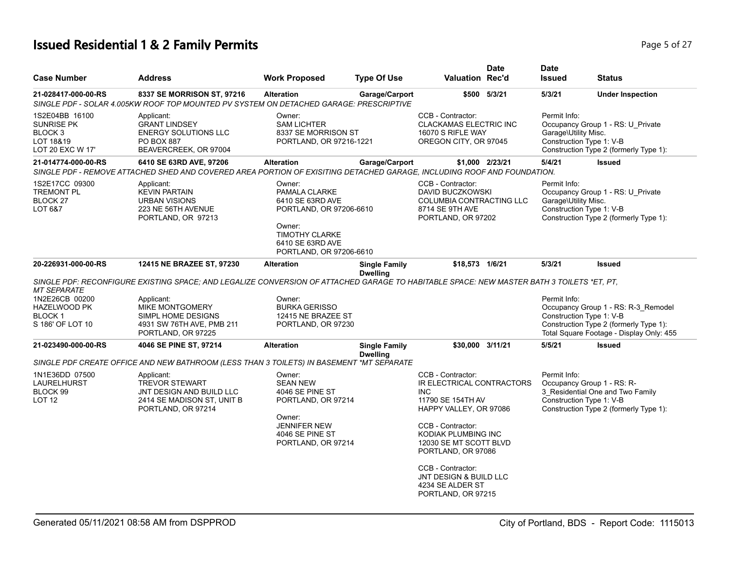# **Issued Residential 1 & 2 Family Permits Page 1 and 27 and 27 and 27 and 27 and 27 and 27 and 27 and 27 and 27 and 27 and 27 and 27 and 27 and 27 and 27 and 27 and 27 and 27 and 27 and 27 and 27 and 27 and 27 and 27 and**

| <b>Case Number</b>                                                                                    | <b>Address</b>                                                                                                                                                                                                                                      | <b>Work Proposed</b>                                                                                                                                     | <b>Type Of Use</b>                      | <b>Valuation Rec'd</b>                                                                                                                                                                                                                                                                           | <b>Date</b>     | <b>Date</b><br><b>Issued</b>         | <b>Status</b>                                                                                                                                         |
|-------------------------------------------------------------------------------------------------------|-----------------------------------------------------------------------------------------------------------------------------------------------------------------------------------------------------------------------------------------------------|----------------------------------------------------------------------------------------------------------------------------------------------------------|-----------------------------------------|--------------------------------------------------------------------------------------------------------------------------------------------------------------------------------------------------------------------------------------------------------------------------------------------------|-----------------|--------------------------------------|-------------------------------------------------------------------------------------------------------------------------------------------------------|
| 21-028417-000-00-RS                                                                                   | 8337 SE MORRISON ST, 97216<br>SINGLE PDF - SOLAR 4.005KW ROOF TOP MOUNTED PV SYSTEM ON DETACHED GARAGE: PRESCRIPTIVE                                                                                                                                | <b>Alteration</b>                                                                                                                                        | Garage/Carport                          |                                                                                                                                                                                                                                                                                                  | \$500 5/3/21    | 5/3/21                               | <b>Under Inspection</b>                                                                                                                               |
| 1S2E04BB 16100<br><b>SUNRISE PK</b><br>BLOCK <sub>3</sub><br>LOT 18&19<br>LOT 20 EXC W 17'            | Applicant:<br><b>GRANT LINDSEY</b><br><b>ENERGY SOLUTIONS LLC</b><br><b>PO BOX 887</b><br>BEAVERCREEK, OR 97004                                                                                                                                     | Owner:<br><b>SAM LICHTER</b><br>8337 SE MORRISON ST<br>PORTLAND, OR 97216-1221                                                                           |                                         | CCB - Contractor:<br><b>CLACKAMAS ELECTRIC INC</b><br>16070 S RIFLE WAY<br>OREGON CITY, OR 97045                                                                                                                                                                                                 |                 | Permit Info:<br>Garage\Utility Misc. | Occupancy Group 1 - RS: U_Private<br>Construction Type 1: V-B<br>Construction Type 2 (formerly Type 1):                                               |
| 21-014774-000-00-RS                                                                                   | 6410 SE 63RD AVE, 97206<br>SINGLE PDF - REMOVE ATTACHED SHED AND COVERED AREA PORTION OF EXISITING DETACHED GARAGE, INCLUDING ROOF AND FOUNDATION.                                                                                                  | <b>Alteration</b>                                                                                                                                        | Garage/Carport                          |                                                                                                                                                                                                                                                                                                  | \$1,000 2/23/21 | 5/4/21                               | <b>Issued</b>                                                                                                                                         |
| 1S2E17CC 09300<br><b>TREMONT PL</b><br>BLOCK <sub>27</sub><br>LOT 6&7                                 | Applicant:<br><b>KEVIN PARTAIN</b><br><b>URBAN VISIONS</b><br>223 NE 56TH AVENUE<br>PORTLAND, OR 97213                                                                                                                                              | Owner:<br>PAMALA CLARKE<br>6410 SE 63RD AVE<br>PORTLAND, OR 97206-6610<br>Owner:<br><b>TIMOTHY CLARKE</b><br>6410 SE 63RD AVE<br>PORTLAND, OR 97206-6610 |                                         | CCB - Contractor:<br>DAVID BUCZKOWSKI<br><b>COLUMBIA CONTRACTING LLC</b><br>8714 SE 9TH AVE<br>PORTLAND, OR 97202                                                                                                                                                                                |                 | Permit Info:<br>Garage\Utility Misc. | Occupancy Group 1 - RS: U Private<br>Construction Type 1: V-B<br>Construction Type 2 (formerly Type 1):                                               |
| 20-226931-000-00-RS                                                                                   | 12415 NE BRAZEE ST, 97230                                                                                                                                                                                                                           | <b>Alteration</b>                                                                                                                                        | <b>Single Family</b>                    | \$18,573 1/6/21                                                                                                                                                                                                                                                                                  |                 | 5/3/21                               | <b>Issued</b>                                                                                                                                         |
| <b>MT SEPARATE</b><br>1N2E26CB 00200<br><b>HAZELWOOD PK</b><br>BLOCK <sub>1</sub><br>S 186' OF LOT 10 | SINGLE PDF: RECONFIGURE EXISTING SPACE: AND LEGALIZE CONVERSION OF ATTACHED GARAGE TO HABITABLE SPACE: NEW MASTER BATH 3 TOILETS *ET, PT,<br>Applicant:<br>MIKE MONTGOMERY<br>SIMPL HOME DESIGNS<br>4931 SW 76TH AVE, PMB 211<br>PORTLAND, OR 97225 | Owner:<br><b>BURKA GERISSO</b><br>12415 NE BRAZEE ST<br>PORTLAND, OR 97230                                                                               | <b>Dwelling</b>                         |                                                                                                                                                                                                                                                                                                  |                 | Permit Info:                         | Occupancy Group 1 - RS: R-3_Remodel<br>Construction Type 1: V-B<br>Construction Type 2 (formerly Type 1):<br>Total Square Footage - Display Only: 455 |
| 21-023490-000-00-RS                                                                                   | 4046 SE PINE ST, 97214<br>SINGLE PDF CREATE OFFICE AND NEW BATHROOM (LESS THAN 3 TOILETS) IN BASEMENT *MT SEPARATE                                                                                                                                  | <b>Alteration</b>                                                                                                                                        | <b>Single Family</b><br><b>Dwelling</b> | \$30,000 3/11/21                                                                                                                                                                                                                                                                                 |                 | 5/5/21                               | <b>Issued</b>                                                                                                                                         |
| 1N1E36DD 07500<br><b>LAURELHURST</b><br>BLOCK 99<br><b>LOT 12</b>                                     | Applicant:<br><b>TREVOR STEWART</b><br>JNT DESIGN AND BUILD LLC<br>2414 SE MADISON ST, UNIT B<br>PORTLAND, OR 97214                                                                                                                                 | Owner:<br><b>SEAN NEW</b><br>4046 SE PINE ST<br>PORTLAND, OR 97214<br>Owner:<br><b>JENNIFER NEW</b><br>4046 SE PINE ST<br>PORTLAND, OR 97214             |                                         | CCB - Contractor:<br>IR ELECTRICAL CONTRACTORS<br><b>INC</b><br>11790 SE 154TH AV<br>HAPPY VALLEY, OR 97086<br>CCB - Contractor:<br>KODIAK PLUMBING INC<br>12030 SE MT SCOTT BLVD<br>PORTLAND, OR 97086<br>CCB - Contractor:<br>JNT DESIGN & BUILD LLC<br>4234 SE ALDER ST<br>PORTLAND, OR 97215 |                 | Permit Info:                         | Occupancy Group 1 - RS: R-<br>3 Residential One and Two Family<br>Construction Type 1: V-B<br>Construction Type 2 (formerly Type 1):                  |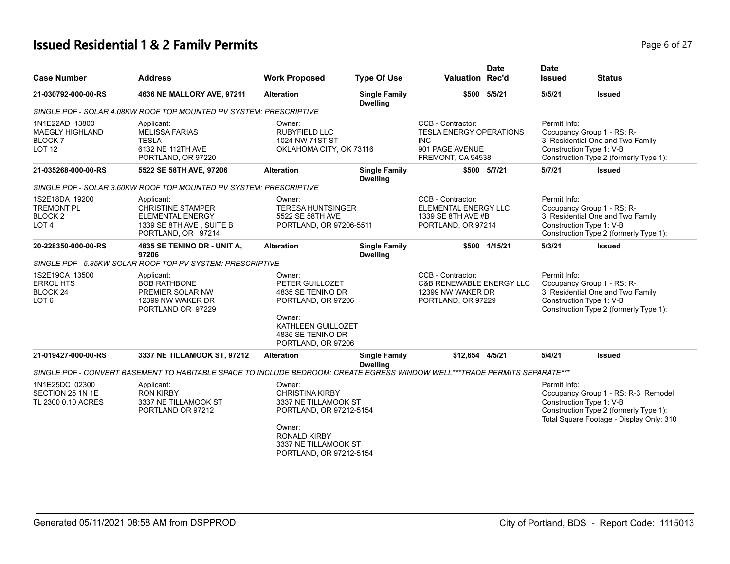# **Issued Residential 1 & 2 Family Permits**

| <b>Case Number</b>                                                            | <b>Address</b>                                                                                                             | <b>Work Proposed</b>                                                                                                                                                    | <b>Type Of Use</b>                      | <b>Valuation Rec'd</b>                                                                                    | <b>Date</b>   | <b>Date</b><br><b>Issued</b> | <b>Status</b>                                                                                                                                         |
|-------------------------------------------------------------------------------|----------------------------------------------------------------------------------------------------------------------------|-------------------------------------------------------------------------------------------------------------------------------------------------------------------------|-----------------------------------------|-----------------------------------------------------------------------------------------------------------|---------------|------------------------------|-------------------------------------------------------------------------------------------------------------------------------------------------------|
| 21-030792-000-00-RS                                                           | 4636 NE MALLORY AVE, 97211                                                                                                 | <b>Alteration</b>                                                                                                                                                       | <b>Single Family</b><br><b>Dwelling</b> |                                                                                                           | \$500 5/5/21  | 5/5/21                       | <b>Issued</b>                                                                                                                                         |
|                                                                               | SINGLE PDF - SOLAR 4.08KW ROOF TOP MOUNTED PV SYSTEM: PRESCRIPTIVE                                                         |                                                                                                                                                                         |                                         |                                                                                                           |               |                              |                                                                                                                                                       |
| 1N1E22AD 13800<br><b>MAEGLY HIGHLAND</b><br>BLOCK 7<br>LOT <sub>12</sub>      | Applicant:<br><b>MELISSA FARIAS</b><br><b>TESLA</b><br>6132 NE 112TH AVE<br>PORTLAND, OR 97220                             | Owner:<br><b>RUBYFIELD LLC</b><br>1024 NW 71ST ST<br>OKLAHOMA CITY, OK 73116                                                                                            |                                         | CCB - Contractor:<br><b>TESLA ENERGY OPERATIONS</b><br><b>INC</b><br>901 PAGE AVENUE<br>FREMONT, CA 94538 |               | Permit Info:                 | Occupancy Group 1 - RS: R-<br>3_Residential One and Two Family<br>Construction Type 1: V-B<br>Construction Type 2 (formerly Type 1):                  |
| 21-035268-000-00-RS                                                           | 5522 SE 58TH AVE, 97206                                                                                                    | <b>Alteration</b>                                                                                                                                                       | <b>Single Family</b><br><b>Dwelling</b> |                                                                                                           | \$500 5/7/21  | 5/7/21                       | <b>Issued</b>                                                                                                                                         |
|                                                                               | SINGLE PDF - SOLAR 3.60KW ROOF TOP MOUNTED PV SYSTEM: PRESCRIPTIVE                                                         |                                                                                                                                                                         |                                         |                                                                                                           |               |                              |                                                                                                                                                       |
| 1S2E18DA 19200<br><b>TREMONT PL</b><br>BLOCK <sub>2</sub><br>LOT <sub>4</sub> | Applicant:<br><b>CHRISTINE STAMPER</b><br><b>ELEMENTAL ENERGY</b><br>1339 SE 8TH AVE, SUITE B<br>PORTLAND, OR 97214        | Owner:<br><b>TERESA HUNTSINGER</b><br>5522 SE 58TH AVE<br>PORTLAND, OR 97206-5511                                                                                       |                                         | CCB - Contractor:<br><b>ELEMENTAL ENERGY LLC</b><br>1339 SE 8TH AVE #B<br>PORTLAND, OR 97214              |               | Permit Info:                 | Occupancy Group 1 - RS: R-<br>3_Residential One and Two Family<br>Construction Type 1: V-B<br>Construction Type 2 (formerly Type 1):                  |
| 20-228350-000-00-RS                                                           | 4835 SE TENINO DR - UNIT A,<br>97206                                                                                       | <b>Alteration</b>                                                                                                                                                       | <b>Single Family</b><br><b>Dwelling</b> |                                                                                                           | \$500 1/15/21 | 5/3/21                       | <b>Issued</b>                                                                                                                                         |
|                                                                               | SINGLE PDF - 5.85KW SOLAR ROOF TOP PV SYSTEM: PRESCRIPTIVE                                                                 |                                                                                                                                                                         |                                         |                                                                                                           |               |                              |                                                                                                                                                       |
| 1S2E19CA 13500<br><b>ERROL HTS</b><br>BLOCK <sub>24</sub><br>LOT <sub>6</sub> | Applicant:<br><b>BOB RATHBONE</b><br>PREMIER SOLAR NW<br>12399 NW WAKER DR<br>PORTLAND OR 97229                            | Owner:<br>PETER GUILLOZET<br>4835 SE TENINO DR<br>PORTLAND, OR 97206<br>Owner:                                                                                          |                                         | CCB - Contractor:<br>C&B RENEWABLE ENERGY LLC<br>12399 NW WAKER DR<br>PORTLAND, OR 97229                  |               | Permit Info:                 | Occupancy Group 1 - RS: R-<br>3 Residential One and Two Family<br>Construction Type 1: V-B<br>Construction Type 2 (formerly Type 1):                  |
|                                                                               |                                                                                                                            | KATHLEEN GUILLOZET<br>4835 SE TENINO DR<br>PORTLAND, OR 97206                                                                                                           |                                         |                                                                                                           |               |                              |                                                                                                                                                       |
| 21-019427-000-00-RS                                                           | 3337 NE TILLAMOOK ST, 97212                                                                                                | <b>Alteration</b>                                                                                                                                                       | <b>Single Family</b><br><b>Dwelling</b> | \$12,654 4/5/21                                                                                           |               | 5/4/21                       | <b>Issued</b>                                                                                                                                         |
|                                                                               | SINGLE PDF - CONVERT BASEMENT TO HABITABLE SPACE TO INCLUDE BEDROOM; CREATE EGRESS WINDOW WELL***TRADE PERMITS SEPARATE*** |                                                                                                                                                                         |                                         |                                                                                                           |               |                              |                                                                                                                                                       |
| 1N1E25DC 02300<br>SECTION 25 1N 1E<br>TL 2300 0.10 ACRES                      | Applicant:<br><b>RON KIRBY</b><br>3337 NE TILLAMOOK ST<br>PORTLAND OR 97212                                                | Owner:<br><b>CHRISTINA KIRBY</b><br>3337 NE TILLAMOOK ST<br>PORTLAND, OR 97212-5154<br>Owner:<br><b>RONALD KIRBY</b><br>3337 NE TILLAMOOK ST<br>PORTLAND, OR 97212-5154 |                                         |                                                                                                           |               | Permit Info:                 | Occupancy Group 1 - RS: R-3_Remodel<br>Construction Type 1: V-B<br>Construction Type 2 (formerly Type 1):<br>Total Square Footage - Display Only: 310 |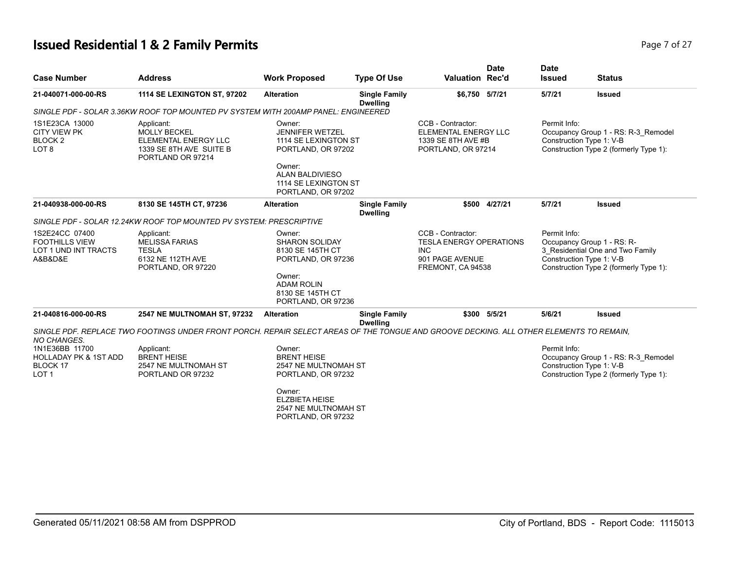# **Issued Residential 1 & 2 Family Permits Page 7 of 27 Page 7 of 27**

| <b>Case Number</b>                                                                 | <b>Address</b>                                                                                                                          | <b>Work Proposed</b>                                                                                                         | <b>Type Of Use</b>                      | Valuation Rec'd                                                                                                                                                                     | <b>Date</b>   | <b>Date</b><br><b>Issued</b>                                               | <b>Status</b>                                                                                             |
|------------------------------------------------------------------------------------|-----------------------------------------------------------------------------------------------------------------------------------------|------------------------------------------------------------------------------------------------------------------------------|-----------------------------------------|-------------------------------------------------------------------------------------------------------------------------------------------------------------------------------------|---------------|----------------------------------------------------------------------------|-----------------------------------------------------------------------------------------------------------|
| 21-040071-000-00-RS                                                                | <b>1114 SE LEXINGTON ST, 97202</b>                                                                                                      | <b>Alteration</b>                                                                                                            | <b>Single Family</b><br><b>Dwelling</b> | \$6,750 5/7/21                                                                                                                                                                      |               | 5/7/21                                                                     | <b>Issued</b>                                                                                             |
|                                                                                    | SINGLE PDF - SOLAR 3.36KW ROOF TOP MOUNTED PV SYSTEM WITH 200AMP PANEL: ENGINEERED                                                      |                                                                                                                              |                                         |                                                                                                                                                                                     |               |                                                                            |                                                                                                           |
| 1S1E23CA 13000<br><b>CITY VIEW PK</b><br>BLOCK 2<br>LOT <sub>8</sub>               | Applicant:<br><b>MOLLY BECKEL</b><br>ELEMENTAL ENERGY LLC<br>1339 SE 8TH AVE SUITE B<br>PORTLAND OR 97214                               | Owner:<br><b>JENNIFER WETZEL</b><br>1114 SE LEXINGTON ST<br>PORTLAND, OR 97202<br>Owner:                                     |                                         | CCB - Contractor:<br>ELEMENTAL ENERGY LLC<br>1339 SE 8TH AVE #B<br>PORTLAND, OR 97214                                                                                               |               | Permit Info:                                                               | Occupancy Group 1 - RS: R-3 Remodel<br>Construction Type 1: V-B<br>Construction Type 2 (formerly Type 1): |
|                                                                                    |                                                                                                                                         | <b>ALAN BALDIVIESO</b><br>1114 SE LEXINGTON ST<br>PORTLAND, OR 97202                                                         |                                         |                                                                                                                                                                                     |               |                                                                            |                                                                                                           |
| 21-040938-000-00-RS                                                                | 8130 SE 145TH CT, 97236                                                                                                                 | <b>Alteration</b>                                                                                                            | <b>Single Family</b><br><b>Dwelling</b> |                                                                                                                                                                                     | \$500 4/27/21 | 5/7/21                                                                     | <b>Issued</b>                                                                                             |
|                                                                                    | SINGLE PDF - SOLAR 12.24KW ROOF TOP MOUNTED PV SYSTEM: PRESCRIPTIVE                                                                     |                                                                                                                              |                                         |                                                                                                                                                                                     |               |                                                                            |                                                                                                           |
| 1S2E24CC 07400<br><b>FOOTHILLS VIEW</b><br>LOT 1 UND INT TRACTS<br>A&B&D&E         | Applicant:<br><b>MELISSA FARIAS</b><br><b>TESLA</b><br>6132 NE 112TH AVE<br>PORTLAND, OR 97220                                          | Owner:<br><b>SHARON SOLIDAY</b><br>8130 SE 145TH CT<br>PORTLAND, OR 97236<br>Owner:<br><b>ADAM ROLIN</b><br>8130 SE 145TH CT |                                         | Permit Info:<br>CCB - Contractor:<br>Occupancy Group 1 - RS: R-<br><b>TESLA ENERGY OPERATIONS</b><br><b>INC</b><br>Construction Type 1: V-B<br>901 PAGE AVENUE<br>FREMONT, CA 94538 |               | 3 Residential One and Two Family<br>Construction Type 2 (formerly Type 1): |                                                                                                           |
| 21-040816-000-00-RS                                                                | 2547 NE MULTNOMAH ST, 97232                                                                                                             | PORTLAND, OR 97236<br><b>Alteration</b>                                                                                      | <b>Single Family</b><br><b>Dwelling</b> |                                                                                                                                                                                     | \$300 5/5/21  | 5/6/21                                                                     | <b>Issued</b>                                                                                             |
| <b>NO CHANGES.</b>                                                                 | SINGLE PDF. REPLACE TWO FOOTINGS UNDER FRONT PORCH. REPAIR SELECT AREAS OF THE TONGUE AND GROOVE DECKING. ALL OTHER ELEMENTS TO REMAIN, |                                                                                                                              |                                         |                                                                                                                                                                                     |               |                                                                            |                                                                                                           |
| 1N1E36BB 11700<br><b>HOLLADAY PK &amp; 1ST ADD</b><br>BLOCK 17<br>LOT <sub>1</sub> | Applicant:<br><b>BRENT HEISE</b><br>2547 NE MULTNOMAH ST<br>PORTLAND OR 97232                                                           | Owner:<br><b>BRENT HEISE</b><br>2547 NE MULTNOMAH ST<br>PORTLAND, OR 97232<br>Owner:<br><b>ELZBIETA HEISE</b>                |                                         |                                                                                                                                                                                     |               | Permit Info:                                                               | Occupancy Group 1 - RS: R-3_Remodel<br>Construction Type 1: V-B<br>Construction Type 2 (formerly Type 1): |
|                                                                                    |                                                                                                                                         | 2547 NE MULTNOMAH ST<br>PORTLAND, OR 97232                                                                                   |                                         |                                                                                                                                                                                     |               |                                                                            |                                                                                                           |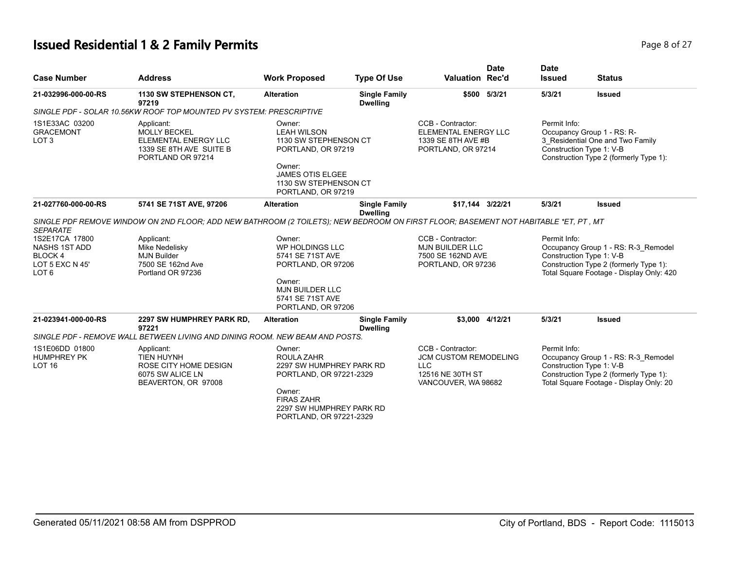# **Issued Residential 1 & 2 Family Permits** Page 8 of 27 of 27 of 27 of 27 of 27 of 27 of 27 of 27 of 27 of 27 of 27 of 27 of 27 of 27 of 27 of 27 of 27 of 27 of 27 of 27 of 27 of 27 of 27 of 27 of 27 of 27 of 27 of 27 of 27

| Page 8 of 27 |  |  |
|--------------|--|--|
|              |  |  |

| <b>Case Number</b>                                                                      | <b>Address</b>                                                                                                                      | <b>Work Proposed</b>                                                                                                                                              | <b>Type Of Use</b>                      | <b>Valuation Rec'd</b>                                                                              | <b>Date</b>     | <b>Date</b><br><b>Issued</b>                                                                                                                                          | <b>Status</b>                                                                                                                                        |
|-----------------------------------------------------------------------------------------|-------------------------------------------------------------------------------------------------------------------------------------|-------------------------------------------------------------------------------------------------------------------------------------------------------------------|-----------------------------------------|-----------------------------------------------------------------------------------------------------|-----------------|-----------------------------------------------------------------------------------------------------------------------------------------------------------------------|------------------------------------------------------------------------------------------------------------------------------------------------------|
| 21-032996-000-00-RS                                                                     | 1130 SW STEPHENSON CT,<br>97219                                                                                                     | <b>Alteration</b>                                                                                                                                                 | <b>Single Family</b><br><b>Dwelling</b> |                                                                                                     | \$500 5/3/21    | 5/3/21                                                                                                                                                                | <b>Issued</b>                                                                                                                                        |
|                                                                                         | SINGLE PDF - SOLAR 10.56KW ROOF TOP MOUNTED PV SYSTEM: PRESCRIPTIVE                                                                 |                                                                                                                                                                   |                                         |                                                                                                     |                 |                                                                                                                                                                       |                                                                                                                                                      |
| 1S1E33AC 03200<br><b>GRACEMONT</b><br>LOT <sub>3</sub>                                  | Applicant:<br><b>MOLLY BECKEL</b><br>ELEMENTAL ENERGY LLC<br>1339 SE 8TH AVE SUITE B<br>PORTLAND OR 97214                           | Owner:<br><b>LEAH WILSON</b><br>1130 SW STEPHENSON CT<br>PORTLAND, OR 97219<br>Owner:<br><b>JAMES OTIS ELGEE</b><br>1130 SW STEPHENSON CT<br>PORTLAND, OR 97219   |                                         | CCB - Contractor:<br><b>ELEMENTAL ENERGY LLC</b><br>1339 SE 8TH AVE #B<br>PORTLAND, OR 97214        |                 | Permit Info:                                                                                                                                                          | Occupancy Group 1 - RS: R-<br>3_Residential One and Two Family<br>Construction Type 1: V-B<br>Construction Type 2 (formerly Type 1):                 |
| 21-027760-000-00-RS                                                                     | 5741 SE 71ST AVE, 97206                                                                                                             | <b>Alteration</b>                                                                                                                                                 | <b>Single Family</b><br><b>Dwelling</b> | \$17,144 3/22/21                                                                                    |                 | 5/3/21                                                                                                                                                                | <b>Issued</b>                                                                                                                                        |
| <b>SEPARATE</b>                                                                         | SINGLE PDF REMOVE WINDOW ON 2ND FLOOR; ADD NEW BATHROOM (2 TOILETS); NEW BEDROOM ON FIRST FLOOR; BASEMENT NOT HABITABLE *ET, PT, MT |                                                                                                                                                                   |                                         |                                                                                                     |                 |                                                                                                                                                                       |                                                                                                                                                      |
| 1S2E17CA 17800<br>NASHS 1ST ADD<br><b>BLOCK4</b><br>LOT 5 EXC N 45'<br>LOT <sub>6</sub> | Applicant:<br>Mike Nedelisky<br><b>MJN Builder</b><br>7500 SE 162nd Ave<br>Portland OR 97236                                        | Owner:<br>WP HOLDINGS LLC<br>5741 SE 71ST AVE<br>PORTLAND, OR 97206<br>Owner:<br><b>MJN BUILDER LLC</b><br>5741 SE 71ST AVE<br>PORTLAND, OR 97206                 |                                         | CCB - Contractor:<br><b>MJN BUILDER LLC</b><br>7500 SE 162ND AVE<br>PORTLAND, OR 97236              |                 | Permit Info:<br>Occupancy Group 1 - RS: R-3_Remodel<br>Construction Type 1: V-B<br>Construction Type 2 (formerly Type 1):<br>Total Square Footage - Display Only: 420 |                                                                                                                                                      |
| 21-023941-000-00-RS                                                                     | 2297 SW HUMPHREY PARK RD,<br>97221                                                                                                  | <b>Alteration</b>                                                                                                                                                 | <b>Single Family</b><br><b>Dwelling</b> |                                                                                                     | \$3.000 4/12/21 | 5/3/21                                                                                                                                                                | <b>Issued</b>                                                                                                                                        |
|                                                                                         | SINGLE PDF - REMOVE WALL BETWEEN LIVING AND DINING ROOM. NEW BEAM AND POSTS.                                                        |                                                                                                                                                                   |                                         |                                                                                                     |                 |                                                                                                                                                                       |                                                                                                                                                      |
| 1S1E06DD 01800<br><b>HUMPHREY PK</b><br>LOT <sub>16</sub>                               | Applicant:<br><b>TIEN HUYNH</b><br>ROSE CITY HOME DESIGN<br>6075 SW ALICE LN<br>BEAVERTON, OR 97008                                 | Owner:<br>ROULA ZAHR<br>2297 SW HUMPHREY PARK RD<br>PORTLAND, OR 97221-2329<br>Owner:<br><b>FIRAS ZAHR</b><br>2297 SW HUMPHREY PARK RD<br>PORTLAND, OR 97221-2329 |                                         | CCB - Contractor:<br>JCM CUSTOM REMODELING<br><b>LLC</b><br>12516 NE 30TH ST<br>VANCOUVER, WA 98682 |                 | Permit Info:                                                                                                                                                          | Occupancy Group 1 - RS: R-3 Remodel<br>Construction Type 1: V-B<br>Construction Type 2 (formerly Type 1):<br>Total Square Footage - Display Only: 20 |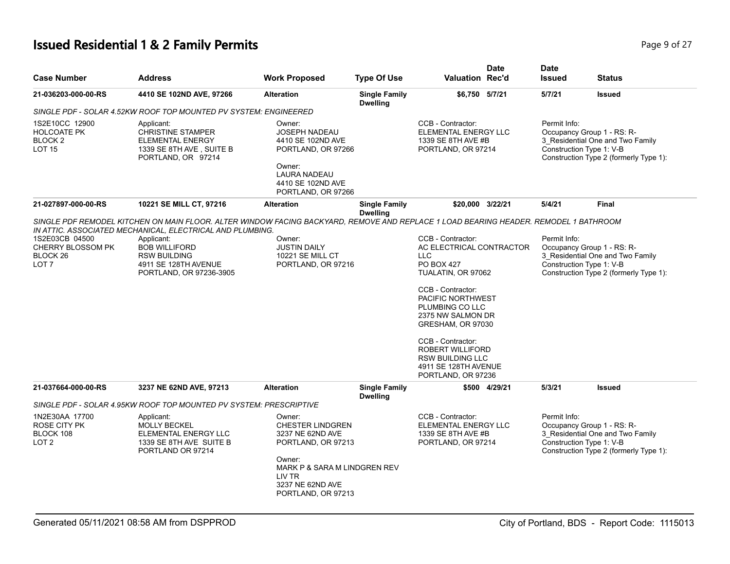# **Issued Residential 1 & 2 Family Permits Page 1 and 27 and 27 and 27 and 27 and 27 and 27 and 27 and 27 and 27 and 27 and 27 and 27 and 27 and 27 and 27 and 27 and 27 and 27 and 27 and 27 and 27 and 27 and 27 and 27 and**

| <b>Case Number</b>                                                         | <b>Address</b>                                                                                                                       | <b>Work Proposed</b>                                                                                                                                                      | <b>Type Of Use</b>                      | <b>Valuation Rec'd</b>                                                                                                                                                                                                                                                                                                          | <b>Date</b>   | <b>Date</b><br><b>Issued</b>                                                                                                                         | <b>Status</b>                                                                                            |
|----------------------------------------------------------------------------|--------------------------------------------------------------------------------------------------------------------------------------|---------------------------------------------------------------------------------------------------------------------------------------------------------------------------|-----------------------------------------|---------------------------------------------------------------------------------------------------------------------------------------------------------------------------------------------------------------------------------------------------------------------------------------------------------------------------------|---------------|------------------------------------------------------------------------------------------------------------------------------------------------------|----------------------------------------------------------------------------------------------------------|
| 21-036203-000-00-RS                                                        | 4410 SE 102ND AVE, 97266                                                                                                             | <b>Alteration</b>                                                                                                                                                         | <b>Single Family</b><br><b>Dwelling</b> | \$6,750 5/7/21                                                                                                                                                                                                                                                                                                                  |               | 5/7/21                                                                                                                                               | <b>Issued</b>                                                                                            |
|                                                                            | SINGLE PDF - SOLAR 4.52KW ROOF TOP MOUNTED PV SYSTEM: ENGINEERED                                                                     |                                                                                                                                                                           |                                         |                                                                                                                                                                                                                                                                                                                                 |               |                                                                                                                                                      |                                                                                                          |
| 1S2E10CC 12900<br><b>HOLCOATE PK</b><br><b>BLOCK2</b><br><b>LOT 15</b>     | Applicant:<br><b>CHRISTINE STAMPER</b><br>ELEMENTAL ENERGY<br>1339 SE 8TH AVE, SUITE B<br>PORTLAND, OR 97214                         | Owner:<br><b>JOSEPH NADEAU</b><br>4410 SE 102ND AVE<br>PORTLAND, OR 97266<br>Owner:<br><b>LAURA NADEAU</b><br>4410 SE 102ND AVE<br>PORTLAND, OR 97266                     |                                         | CCB - Contractor:<br>ELEMENTAL ENERGY LLC<br>1339 SE 8TH AVE #B<br>PORTLAND, OR 97214                                                                                                                                                                                                                                           |               | Permit Info:<br>Occupancy Group 1 - RS: R-<br>3_Residential One and Two Family<br>Construction Type 1: V-B<br>Construction Type 2 (formerly Type 1): |                                                                                                          |
| 21-027897-000-00-RS                                                        | 10221 SE MILL CT, 97216                                                                                                              | <b>Alteration</b>                                                                                                                                                         | <b>Single Family</b>                    | \$20,000 3/22/21                                                                                                                                                                                                                                                                                                                |               | 5/4/21                                                                                                                                               | <b>Final</b>                                                                                             |
|                                                                            | SINGLE PDF REMODEL KITCHEN ON MAIN FLOOR. ALTER WINDOW FACING BACKYARD, REMOVE AND REPLACE 1 LOAD BEARING HEADER. REMODEL 1 BATHROOM |                                                                                                                                                                           | <b>Dwelling</b>                         |                                                                                                                                                                                                                                                                                                                                 |               |                                                                                                                                                      |                                                                                                          |
|                                                                            | IN ATTIC. ASSOCIATED MECHANICAL, ELECTRICAL AND PLUMBING.                                                                            |                                                                                                                                                                           |                                         |                                                                                                                                                                                                                                                                                                                                 |               |                                                                                                                                                      |                                                                                                          |
| 1S2E03CB 04500<br><b>CHERRY BLOSSOM PK</b><br>BLOCK 26<br>LOT <sub>7</sub> | Applicant:<br><b>BOB WILLIFORD</b><br><b>RSW BUILDING</b><br>4911 SE 128TH AVENUE<br>PORTLAND, OR 97236-3905                         | Owner:<br><b>JUSTIN DAILY</b><br>10221 SE MILL CT<br>PORTLAND, OR 97216                                                                                                   |                                         | CCB - Contractor:<br>AC ELECTRICAL CONTRACTOR<br><b>LLC</b><br><b>PO BOX 427</b><br>TUALATIN, OR 97062<br>CCB - Contractor:<br>PACIFIC NORTHWEST<br>PLUMBING CO LLC<br>2375 NW SALMON DR<br>GRESHAM, OR 97030<br>CCB - Contractor:<br><b>ROBERT WILLIFORD</b><br>RSW BUILDING LLC<br>4911 SE 128TH AVENUE<br>PORTLAND, OR 97236 |               | Permit Info:<br>Construction Type 1: V-B                                                                                                             | Occupancy Group 1 - RS: R-<br>3_Residential One and Two Family<br>Construction Type 2 (formerly Type 1): |
| 21-037664-000-00-RS                                                        | 3237 NE 62ND AVE, 97213                                                                                                              | <b>Alteration</b>                                                                                                                                                         | <b>Single Family</b>                    |                                                                                                                                                                                                                                                                                                                                 | \$500 4/29/21 | 5/3/21                                                                                                                                               | <b>Issued</b>                                                                                            |
|                                                                            | SINGLE PDF - SOLAR 4.95KW ROOF TOP MOUNTED PV SYSTEM: PRESCRIPTIVE                                                                   |                                                                                                                                                                           | <b>Dwelling</b>                         |                                                                                                                                                                                                                                                                                                                                 |               |                                                                                                                                                      |                                                                                                          |
| 1N2E30AA 17700<br>ROSE CITY PK<br>BLOCK 108<br>LOT <sub>2</sub>            | Applicant:<br><b>MOLLY BECKEL</b><br>ELEMENTAL ENERGY LLC<br>1339 SE 8TH AVE SUITE B<br>PORTLAND OR 97214                            | Owner:<br><b>CHESTER LINDGREN</b><br>3237 NE 62ND AVE<br>PORTLAND, OR 97213<br>Owner:<br>MARK P & SARA M LINDGREN REV<br>LIV TR<br>3237 NE 62ND AVE<br>PORTLAND, OR 97213 |                                         | CCB - Contractor:<br>ELEMENTAL ENERGY LLC<br>1339 SE 8TH AVE #B<br>PORTLAND, OR 97214                                                                                                                                                                                                                                           |               | Permit Info:<br>Construction Type 1: V-B                                                                                                             | Occupancy Group 1 - RS: R-<br>3 Residential One and Two Family<br>Construction Type 2 (formerly Type 1): |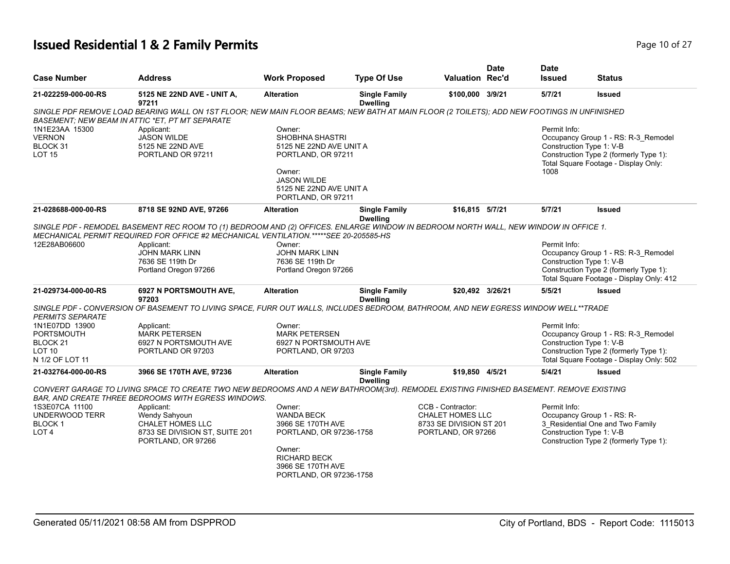# **Issued Residential 1 & 2 Family Permits Page 10 of 27 Page 10 of 27**

|                                          |                                                                                                                                                                                                                               |                                               |                                         |                                                    | <b>Date</b> | <b>Date</b>              |                                                                                    |
|------------------------------------------|-------------------------------------------------------------------------------------------------------------------------------------------------------------------------------------------------------------------------------|-----------------------------------------------|-----------------------------------------|----------------------------------------------------|-------------|--------------------------|------------------------------------------------------------------------------------|
| <b>Case Number</b>                       | Address                                                                                                                                                                                                                       | <b>Work Proposed</b>                          | <b>Type Of Use</b>                      | <b>Valuation Rec'd</b>                             |             | <b>Issued</b>            | <b>Status</b>                                                                      |
| 21-022259-000-00-RS                      | 5125 NE 22ND AVE - UNIT A,<br>97211                                                                                                                                                                                           | <b>Alteration</b>                             | <b>Single Family</b><br><b>Dwelling</b> | \$100,000 3/9/21                                   |             | 5/7/21                   | <b>Issued</b>                                                                      |
|                                          | SINGLE PDF REMOVE LOAD BEARING WALL ON 1ST FLOOR; NEW MAIN FLOOR BEAMS; NEW BATH AT MAIN FLOOR (2 TOILETS); ADD NEW FOOTINGS IN UNFINISHED<br>BASEMENT: NEW BEAM IN ATTIC *ET, PT MT SEPARATE                                 |                                               |                                         |                                                    |             |                          |                                                                                    |
| 1N1E23AA 15300                           | Applicant:                                                                                                                                                                                                                    | Owner:                                        |                                         |                                                    |             | Permit Info:             |                                                                                    |
| <b>VERNON</b>                            | <b>JASON WILDE</b>                                                                                                                                                                                                            | <b>SHOBHNA SHASTRI</b>                        |                                         |                                                    |             |                          | Occupancy Group 1 - RS: R-3_Remodel                                                |
| BLOCK 31<br><b>LOT 15</b>                | 5125 NE 22ND AVE<br>PORTLAND OR 97211                                                                                                                                                                                         | 5125 NE 22ND AVE UNIT A<br>PORTLAND, OR 97211 |                                         |                                                    |             | Construction Type 1: V-B | Construction Type 2 (formerly Type 1):                                             |
|                                          |                                                                                                                                                                                                                               |                                               |                                         |                                                    |             |                          | Total Square Footage - Display Only:                                               |
|                                          |                                                                                                                                                                                                                               | Owner:<br><b>JASON WILDE</b>                  |                                         |                                                    |             | 1008                     |                                                                                    |
|                                          |                                                                                                                                                                                                                               | 5125 NE 22ND AVE UNIT A                       |                                         |                                                    |             |                          |                                                                                    |
|                                          |                                                                                                                                                                                                                               | PORTLAND, OR 97211                            |                                         |                                                    |             |                          |                                                                                    |
| 21-028688-000-00-RS                      | 8718 SE 92ND AVE, 97266                                                                                                                                                                                                       | <b>Alteration</b>                             | <b>Single Family</b><br><b>Dwelling</b> | \$16,815 5/7/21                                    |             | 5/7/21                   | <b>Issued</b>                                                                      |
|                                          | SINGLE PDF - REMODEL BASEMENT REC ROOM TO (1) BEDROOM AND (2) OFFICES. ENLARGE WINDOW IN BEDROOM NORTH WALL, NEW WINDOW IN OFFICE 1.<br>MECHANICAL PERMIT REQUIRED FOR OFFICE #2 MECHANICAL VENTILATION.*****SEE 20-205585-HS |                                               |                                         |                                                    |             |                          |                                                                                    |
| 12E28AB06600                             | Applicant:                                                                                                                                                                                                                    | Owner:                                        |                                         |                                                    |             | Permit Info:             |                                                                                    |
|                                          | <b>JOHN MARK LINN</b>                                                                                                                                                                                                         | <b>JOHN MARK LINN</b>                         |                                         |                                                    |             |                          | Occupancy Group 1 - RS: R-3_Remodel                                                |
|                                          | 7636 SE 119th Dr                                                                                                                                                                                                              | 7636 SE 119th Dr                              |                                         |                                                    |             | Construction Type 1: V-B |                                                                                    |
|                                          | Portland Oregon 97266                                                                                                                                                                                                         | Portland Oregon 97266                         |                                         |                                                    |             |                          | Construction Type 2 (formerly Type 1):<br>Total Square Footage - Display Only: 412 |
| 21-029734-000-00-RS                      | 6927 N PORTSMOUTH AVE,<br>97203                                                                                                                                                                                               | <b>Alteration</b>                             | <b>Single Family</b><br><b>Dwelling</b> | \$20,492 3/26/21                                   |             | 5/5/21                   | <b>Issued</b>                                                                      |
| PERMITS SEPARATE                         | SINGLE PDF - CONVERSION OF BASEMENT TO LIVING SPACE, FURR OUT WALLS, INCLUDES BEDROOM, BATHROOM, AND NEW EGRESS WINDOW WELL**TRADE                                                                                            |                                               |                                         |                                                    |             |                          |                                                                                    |
| 1N1E07DD 13900                           | Applicant:                                                                                                                                                                                                                    | Owner:                                        |                                         |                                                    |             | Permit Info:             |                                                                                    |
| <b>PORTSMOUTH</b>                        | <b>MARK PETERSEN</b>                                                                                                                                                                                                          | <b>MARK PETERSEN</b>                          |                                         |                                                    |             | Construction Type 1: V-B | Occupancy Group 1 - RS: R-3_Remodel                                                |
| BLOCK <sub>21</sub><br>LOT <sub>10</sub> | 6927 N PORTSMOUTH AVE<br>PORTLAND OR 97203                                                                                                                                                                                    | 6927 N PORTSMOUTH AVE<br>PORTLAND, OR 97203   |                                         |                                                    |             |                          | Construction Type 2 (formerly Type 1):                                             |
| N 1/2 OF LOT 11                          |                                                                                                                                                                                                                               |                                               |                                         |                                                    |             |                          | Total Square Footage - Display Only: 502                                           |
| 21-032764-000-00-RS                      | 3966 SE 170TH AVE, 97236                                                                                                                                                                                                      | <b>Alteration</b>                             | <b>Single Family</b><br><b>Dwelling</b> | \$19,850 4/5/21                                    |             | 5/4/21                   | <b>Issued</b>                                                                      |
|                                          | CONVERT GARAGE TO LIVING SPACE TO CREATE TWO NEW BEDROOMS AND A NEW BATHROOM(3rd). REMODEL EXISTING FINISHED BASEMENT. REMOVE EXISTING                                                                                        |                                               |                                         |                                                    |             |                          |                                                                                    |
|                                          | BAR, AND CREATE THREE BEDROOMS WITH EGRESS WINDOWS.                                                                                                                                                                           |                                               |                                         |                                                    |             |                          |                                                                                    |
| 1S3E07CA 11100                           | Applicant:                                                                                                                                                                                                                    | Owner:                                        |                                         | CCB - Contractor:                                  |             | Permit Info:             |                                                                                    |
| <b>UNDERWOOD TERR</b><br><b>BLOCK1</b>   | Wendy Sahyoun<br><b>CHALET HOMES LLC</b>                                                                                                                                                                                      | <b>WANDA BECK</b><br>3966 SE 170TH AVE        |                                         | <b>CHALET HOMES LLC</b><br>8733 SE DIVISION ST 201 |             |                          | Occupancy Group 1 - RS: R-<br>3 Residential One and Two Family                     |
| LOT <sub>4</sub>                         | 8733 SE DIVISION ST, SUITE 201                                                                                                                                                                                                | PORTLAND, OR 97236-1758                       |                                         | PORTLAND, OR 97266                                 |             | Construction Type 1: V-B |                                                                                    |
|                                          | PORTLAND, OR 97266                                                                                                                                                                                                            |                                               |                                         |                                                    |             |                          | Construction Type 2 (formerly Type 1):                                             |
|                                          |                                                                                                                                                                                                                               | Owner:<br><b>RICHARD BECK</b>                 |                                         |                                                    |             |                          |                                                                                    |
|                                          |                                                                                                                                                                                                                               | 3966 SE 170TH AVE                             |                                         |                                                    |             |                          |                                                                                    |
|                                          |                                                                                                                                                                                                                               | PORTLAND, OR 97236-1758                       |                                         |                                                    |             |                          |                                                                                    |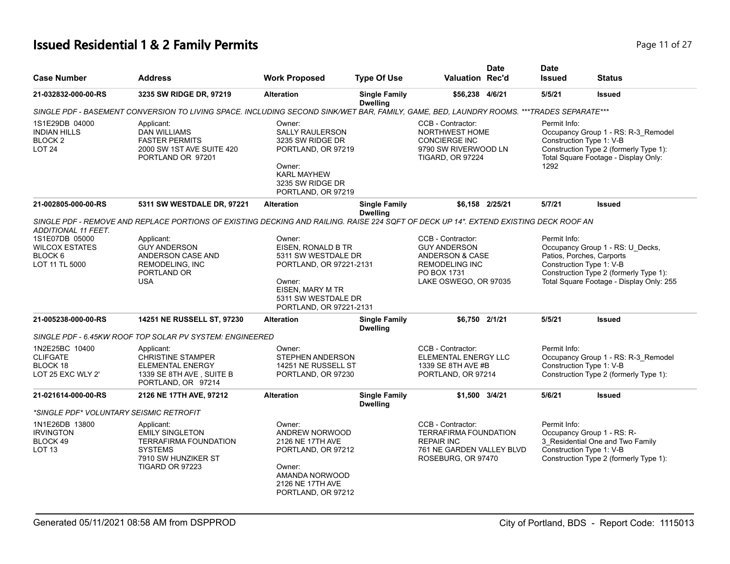# **Issued Residential 1 & 2 Family Permits Page 11 of 27 Page 11 of 27**

| <b>Case Number</b>                                                           | <b>Address</b>                                                                                                                           | <b>Work Proposed</b>                                                                                                                                           | <b>Type Of Use</b>                      | Valuation Rec'd                                                                                                              | <b>Date</b>     | <b>Date</b><br><b>Issued</b>                     | Status                                                                                                                                                                          |
|------------------------------------------------------------------------------|------------------------------------------------------------------------------------------------------------------------------------------|----------------------------------------------------------------------------------------------------------------------------------------------------------------|-----------------------------------------|------------------------------------------------------------------------------------------------------------------------------|-----------------|--------------------------------------------------|---------------------------------------------------------------------------------------------------------------------------------------------------------------------------------|
| 21-032832-000-00-RS                                                          | 3235 SW RIDGE DR, 97219                                                                                                                  | <b>Alteration</b>                                                                                                                                              | <b>Single Family</b><br><b>Dwelling</b> | \$56,238 4/6/21                                                                                                              |                 | 5/5/21                                           | <b>Issued</b>                                                                                                                                                                   |
|                                                                              | SINGLE PDF - BASEMENT CONVERSION TO LIVING SPACE. INCLUDING SECOND SINK/WET BAR, FAMILY, GAME, BED, LAUNDRY ROOMS. ***TRADES SEPARATE*** |                                                                                                                                                                |                                         |                                                                                                                              |                 |                                                  |                                                                                                                                                                                 |
| 1S1E29DB 04000<br><b>INDIAN HILLS</b><br>BLOCK <sub>2</sub><br><b>LOT 24</b> | Applicant:<br><b>DAN WILLIAMS</b><br><b>FASTER PERMITS</b><br>2000 SW 1ST AVE SUITE 420<br>PORTLAND OR 97201                             | Owner:<br><b>SALLY RAULERSON</b><br>3235 SW RIDGE DR<br>PORTLAND, OR 97219<br>Owner:<br><b>KARL MAYHEW</b><br>3235 SW RIDGE DR<br>PORTLAND, OR 97219           |                                         | CCB - Contractor:<br>NORTHWEST HOME<br><b>CONCIERGE INC</b><br>9790 SW RIVERWOOD LN<br>TIGARD, OR 97224                      |                 | Permit Info:<br>Construction Type 1: V-B<br>1292 | Occupancy Group 1 - RS: R-3_Remodel<br>Construction Type 2 (formerly Type 1):<br>Total Square Footage - Display Only:                                                           |
| 21-002805-000-00-RS                                                          | 5311 SW WESTDALE DR, 97221                                                                                                               | <b>Alteration</b>                                                                                                                                              | <b>Single Family</b>                    |                                                                                                                              | \$6,158 2/25/21 | 5/7/21                                           | <b>Issued</b>                                                                                                                                                                   |
|                                                                              | SINGLE PDF - REMOVE AND REPLACE PORTIONS OF EXISTING DECKING AND RAILING. RAISE 224 SQFT OF DECK UP 14". EXTEND EXISTING DECK ROOF AN    |                                                                                                                                                                | <b>Dwelling</b>                         |                                                                                                                              |                 |                                                  |                                                                                                                                                                                 |
| <b>ADDITIONAL 11 FEET.</b>                                                   |                                                                                                                                          |                                                                                                                                                                |                                         |                                                                                                                              |                 |                                                  |                                                                                                                                                                                 |
| 1S1E07DB 05000<br><b>WILCOX ESTATES</b><br>BLOCK 6<br>LOT 11 TL 5000         | Applicant:<br><b>GUY ANDERSON</b><br>ANDERSON CASE AND<br>REMODELING, INC<br>PORTLAND OR<br><b>USA</b>                                   | Owner:<br>EISEN, RONALD B TR<br>5311 SW WESTDALE DR<br>PORTLAND, OR 97221-2131<br>Owner:<br>EISEN, MARY M TR<br>5311 SW WESTDALE DR<br>PORTLAND, OR 97221-2131 |                                         | CCB - Contractor:<br><b>GUY ANDERSON</b><br>ANDERSON & CASE<br><b>REMODELING INC</b><br>PO BOX 1731<br>LAKE OSWEGO, OR 97035 |                 | Permit Info:                                     | Occupancy Group 1 - RS: U_Decks,<br>Patios, Porches, Carports<br>Construction Type 1: V-B<br>Construction Type 2 (formerly Type 1):<br>Total Square Footage - Display Only: 255 |
| 21-005238-000-00-RS                                                          | 14251 NE RUSSELL ST, 97230                                                                                                               | <b>Alteration</b>                                                                                                                                              | <b>Single Family</b>                    | \$6,750 2/1/21                                                                                                               |                 | 5/5/21                                           | <b>Issued</b>                                                                                                                                                                   |
|                                                                              | SINGLE PDF - 6.45KW ROOF TOP SOLAR PV SYSTEM: ENGINEERED                                                                                 |                                                                                                                                                                | <b>Dwelling</b>                         |                                                                                                                              |                 |                                                  |                                                                                                                                                                                 |
| 1N2E25BC 10400<br><b>CLIFGATE</b><br>BLOCK 18<br>LOT 25 EXC WLY 2'           | Applicant:<br><b>CHRISTINE STAMPER</b><br><b>ELEMENTAL ENERGY</b><br>1339 SE 8TH AVE, SUITE B<br>PORTLAND, OR 97214                      | Owner:<br>STEPHEN ANDERSON<br>14251 NE RUSSELL ST<br>PORTLAND, OR 97230                                                                                        |                                         | CCB - Contractor:<br>ELEMENTAL ENERGY LLC<br>1339 SE 8TH AVE #B<br>PORTLAND, OR 97214                                        |                 | Permit Info:                                     | Occupancy Group 1 - RS: R-3_Remodel<br>Construction Type 1: V-B<br>Construction Type 2 (formerly Type 1):                                                                       |
| 21-021614-000-00-RS                                                          | 2126 NE 17TH AVE, 97212                                                                                                                  | <b>Alteration</b>                                                                                                                                              | <b>Single Family</b><br><b>Dwelling</b> | \$1,500 3/4/21                                                                                                               |                 | 5/6/21                                           | <b>Issued</b>                                                                                                                                                                   |
| *SINGLE PDF* VOLUNTARY SEISMIC RETROFIT                                      |                                                                                                                                          |                                                                                                                                                                |                                         |                                                                                                                              |                 |                                                  |                                                                                                                                                                                 |
| 1N1E26DB 13800<br><b>IRVINGTON</b><br>BLOCK 49<br>LOT <sub>13</sub>          | Applicant:<br><b>EMILY SINGLETON</b><br><b>TERRAFIRMA FOUNDATION</b><br><b>SYSTEMS</b><br>7910 SW HUNZIKER ST<br><b>TIGARD OR 97223</b>  | Owner:<br>ANDREW NORWOOD<br>2126 NE 17TH AVE<br>PORTLAND, OR 97212<br>Owner:<br>AMANDA NORWOOD<br>2126 NE 17TH AVE<br>PORTLAND, OR 97212                       |                                         | CCB - Contractor:<br><b>TERRAFIRMA FOUNDATION</b><br><b>REPAIR INC</b><br>761 NE GARDEN VALLEY BLVD<br>ROSEBURG, OR 97470    |                 | Permit Info:                                     | Occupancy Group 1 - RS: R-<br>3_Residential One and Two Family<br>Construction Type 1: V-B<br>Construction Type 2 (formerly Type 1):                                            |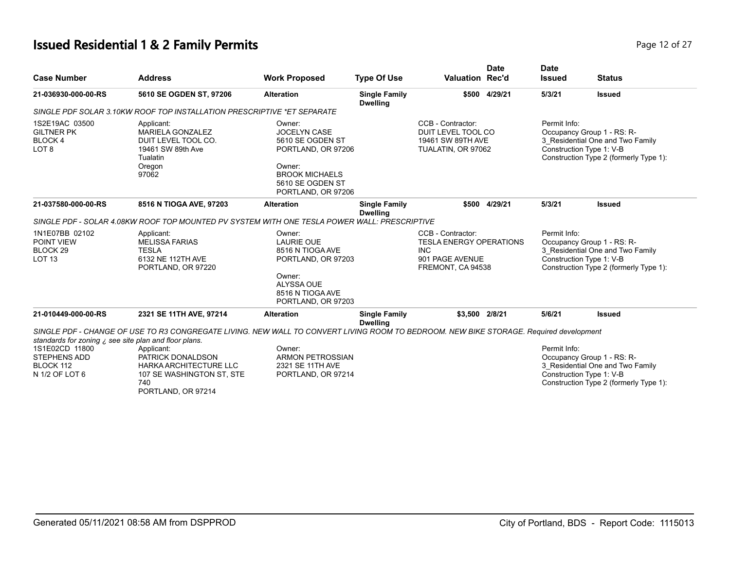# **Issued Residential 1 & 2 Family Permits**

| Page 12 of 27 |  |  |  |
|---------------|--|--|--|
|---------------|--|--|--|

| <b>Case Number</b>                                                                                                                  | <b>Address</b>                                                                                                                                                                                                                                                       | <b>Work Proposed</b>                                                                                                                                 | <b>Type Of Use</b>                      | <b>Valuation Rec'd</b>                                                                                    | <b>Date</b>   | <b>Date</b><br><b>Issued</b> | <b>Status</b>                                                                                                                        |
|-------------------------------------------------------------------------------------------------------------------------------------|----------------------------------------------------------------------------------------------------------------------------------------------------------------------------------------------------------------------------------------------------------------------|------------------------------------------------------------------------------------------------------------------------------------------------------|-----------------------------------------|-----------------------------------------------------------------------------------------------------------|---------------|------------------------------|--------------------------------------------------------------------------------------------------------------------------------------|
| 21-036930-000-00-RS                                                                                                                 | 5610 SE OGDEN ST, 97206                                                                                                                                                                                                                                              | <b>Alteration</b>                                                                                                                                    | <b>Single Family</b><br><b>Dwelling</b> |                                                                                                           | \$500 4/29/21 | 5/3/21                       | <b>Issued</b>                                                                                                                        |
|                                                                                                                                     | SINGLE PDF SOLAR 3.10KW ROOF TOP INSTALLATION PRESCRIPTIVE *ET SEPARATE                                                                                                                                                                                              |                                                                                                                                                      |                                         |                                                                                                           |               |                              |                                                                                                                                      |
| 1S2E19AC 03500<br><b>GILTNER PK</b><br>BLOCK 4<br>LOT <sub>8</sub>                                                                  | Applicant:<br><b>MARIELA GONZALEZ</b><br>DUIT LEVEL TOOL CO.<br>19461 SW 89th Ave<br>Tualatin<br>Oregon<br>97062                                                                                                                                                     | Owner:<br><b>JOCELYN CASE</b><br>5610 SE OGDEN ST<br>PORTLAND, OR 97206<br>Owner:<br><b>BROOK MICHAELS</b><br>5610 SE OGDEN ST<br>PORTLAND, OR 97206 |                                         | CCB - Contractor:<br>DUIT LEVEL TOOL CO<br>19461 SW 89TH AVE<br>TUALATIN, OR 97062                        |               | Permit Info:                 | Occupancy Group 1 - RS: R-<br>3 Residential One and Two Family<br>Construction Type 1: V-B<br>Construction Type 2 (formerly Type 1): |
| 21-037580-000-00-RS                                                                                                                 | 8516 N TIOGA AVE, 97203                                                                                                                                                                                                                                              | <b>Alteration</b>                                                                                                                                    | <b>Single Family</b><br><b>Dwelling</b> |                                                                                                           | \$500 4/29/21 | 5/3/21                       | <b>Issued</b>                                                                                                                        |
|                                                                                                                                     | SINGLE PDF - SOLAR 4.08KW ROOF TOP MOUNTED PV SYSTEM WITH ONE TESLA POWER WALL: PRESCRIPTIVE                                                                                                                                                                         |                                                                                                                                                      |                                         |                                                                                                           |               |                              |                                                                                                                                      |
| 1N1E07BB 02102<br>POINT VIEW<br>BLOCK <sub>29</sub><br><b>LOT 13</b>                                                                | Applicant:<br><b>MELISSA FARIAS</b><br><b>TESLA</b><br>6132 NE 112TH AVE<br>PORTLAND, OR 97220                                                                                                                                                                       | Owner:<br><b>LAURIE OUE</b><br>8516 N TIOGA AVE<br>PORTLAND, OR 97203<br>Owner:<br><b>ALYSSA OUE</b><br>8516 N TIOGA AVE<br>PORTLAND, OR 97203       |                                         | CCB - Contractor:<br><b>TESLA ENERGY OPERATIONS</b><br><b>INC</b><br>901 PAGE AVENUE<br>FREMONT, CA 94538 |               | Permit Info:                 | Occupancy Group 1 - RS: R-<br>3_Residential One and Two Family<br>Construction Type 1: V-B<br>Construction Type 2 (formerly Type 1): |
| 21-010449-000-00-RS                                                                                                                 | 2321 SE 11TH AVE, 97214                                                                                                                                                                                                                                              | <b>Alteration</b>                                                                                                                                    | <b>Single Family</b>                    | \$3,500 2/8/21                                                                                            |               | 5/6/21                       | <b>Issued</b>                                                                                                                        |
| standards for zoning $\zeta$ see site plan and floor plans.<br>1S1E02CD 11800<br><b>STEPHENS ADD</b><br>BLOCK 112<br>N 1/2 OF LOT 6 | SINGLE PDF - CHANGE OF USE TO R3 CONGREGATE LIVING. NEW WALL TO CONVERT LIVING ROOM TO BEDROOM. NEW BIKE STORAGE. Required development<br>Applicant:<br>PATRICK DONALDSON<br><b>HARKA ARCHITECTURE LLC</b><br>107 SE WASHINGTON ST, STE<br>740<br>PORTLAND, OR 97214 | Owner:<br><b>ARMON PETROSSIAN</b><br>2321 SE 11TH AVE<br>PORTLAND, OR 97214                                                                          | <b>Dwelling</b>                         |                                                                                                           |               | Permit Info:                 | Occupancy Group 1 - RS: R-<br>3_Residential One and Two Family<br>Construction Type 1: V-B<br>Construction Type 2 (formerly Type 1): |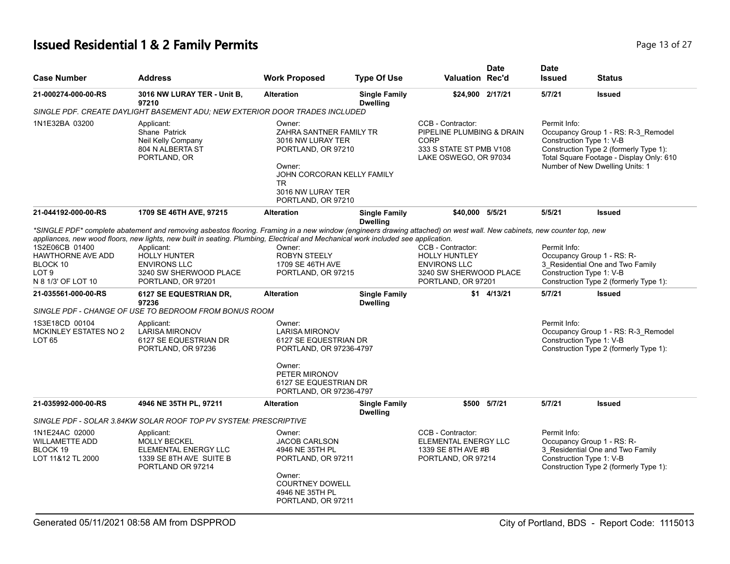# **Issued Residential 1 & 2 Family Permits Page 13 of 27 Page 13 of 27**

| <b>Case Number</b>                                                                                                                                                                         | <b>Address</b>                                                                                                                                                                                                                                                                                                                                                                                                                                                                                                                                                                                           | <b>Work Proposed</b>                                                                                                                                                                                                                                               | <b>Type Of Use</b>                      | <b>Valuation Rec'd</b>                                                                                            | Date         | <b>Date</b><br><b>Issued</b>                                                                                                 | <b>Status</b>                                                                                                                                                                |
|--------------------------------------------------------------------------------------------------------------------------------------------------------------------------------------------|----------------------------------------------------------------------------------------------------------------------------------------------------------------------------------------------------------------------------------------------------------------------------------------------------------------------------------------------------------------------------------------------------------------------------------------------------------------------------------------------------------------------------------------------------------------------------------------------------------|--------------------------------------------------------------------------------------------------------------------------------------------------------------------------------------------------------------------------------------------------------------------|-----------------------------------------|-------------------------------------------------------------------------------------------------------------------|--------------|------------------------------------------------------------------------------------------------------------------------------|------------------------------------------------------------------------------------------------------------------------------------------------------------------------------|
| 21-000274-000-00-RS                                                                                                                                                                        | 3016 NW LURAY TER - Unit B,<br>97210<br>SINGLE PDF. CREATE DAYLIGHT BASEMENT ADU; NEW EXTERIOR DOOR TRADES INCLUDED                                                                                                                                                                                                                                                                                                                                                                                                                                                                                      | <b>Alteration</b>                                                                                                                                                                                                                                                  | <b>Single Family</b><br><b>Dwelling</b> | \$24,900 2/17/21                                                                                                  |              | 5/7/21                                                                                                                       | <b>Issued</b>                                                                                                                                                                |
| 1N1E32BA 03200                                                                                                                                                                             | Applicant:<br>Shane Patrick<br>Neil Kelly Company<br>804 N ALBERTA ST<br>PORTLAND, OR                                                                                                                                                                                                                                                                                                                                                                                                                                                                                                                    | Owner:<br>ZAHRA SANTNER FAMILY TR<br>3016 NW LURAY TER<br>PORTLAND, OR 97210<br>Owner:<br>JOHN CORCORAN KELLY FAMILY<br><b>TR</b><br>3016 NW LURAY TER<br>PORTLAND, OR 97210                                                                                       |                                         | CCB - Contractor:<br>PIPELINE PLUMBING & DRAIN<br><b>CORP</b><br>333 S STATE ST PMB V108<br>LAKE OSWEGO, OR 97034 |              | Permit Info:<br>Construction Type 1: V-B                                                                                     | Occupancy Group 1 - RS: R-3_Remodel<br>Construction Type 2 (formerly Type 1):<br>Total Square Footage - Display Only: 610<br>Number of New Dwelling Units: 1                 |
| 21-044192-000-00-RS                                                                                                                                                                        | 1709 SE 46TH AVE, 97215                                                                                                                                                                                                                                                                                                                                                                                                                                                                                                                                                                                  | <b>Alteration</b>                                                                                                                                                                                                                                                  | <b>Single Family</b><br><b>Dwelling</b> | \$40,000 5/5/21                                                                                                   |              | 5/5/21                                                                                                                       | <b>Issued</b>                                                                                                                                                                |
| 1S2E06CB 01400<br><b>HAWTHORNE AVE ADD</b><br>BLOCK 10<br>LOT <sub>9</sub><br>N 8 1/3' OF LOT 10<br>21-035561-000-00-RS<br>1S3E18CD 00104<br><b>MCKINLEY ESTATES NO 2</b><br><b>LOT 65</b> | *SINGLE PDF* complete abatement and removing asbestos flooring. Framing in a new window (engineers drawing attached) on west wall. New cabinets, new counter top, new<br>appliances, new wood floors, new lights, new built in seating. Plumbing, Electrical and Mechanical work included see application.<br>Applicant:<br><b>HOLLY HUNTER</b><br><b>ENVIRONS LLC</b><br>3240 SW SHERWOOD PLACE<br>PORTLAND, OR 97201<br>6127 SE EQUESTRIAN DR,<br>97236<br>SINGLE PDF - CHANGE OF USE TO BEDROOM FROM BONUS ROOM<br>Applicant:<br><b>LARISA MIRONOV</b><br>6127 SE EQUESTRIAN DR<br>PORTLAND, OR 97236 | Owner:<br><b>ROBYN STEELY</b><br>1709 SE 46TH AVE<br>PORTLAND, OR 97215<br><b>Alteration</b><br>Owner:<br><b>LARISA MIRONOV</b><br>6127 SE EQUESTRIAN DR<br>PORTLAND, OR 97236-4797<br>Owner:<br>PETER MIRONOV<br>6127 SE EQUESTRIAN DR<br>PORTLAND, OR 97236-4797 | <b>Single Family</b><br><b>Dwelling</b> | CCB - Contractor:<br>HOLLY HUNTLEY<br><b>ENVIRONS LLC</b><br>3240 SW SHERWOOD PLACE<br>PORTLAND, OR 97201         | \$1 4/13/21  | Permit Info:<br>Occupancy Group 1 - RS: R-<br>Construction Type 1: V-B<br>5/7/21<br>Permit Info:<br>Construction Type 1: V-B | 3 Residential One and Two Family<br>Construction Type 2 (formerly Type 1):<br><b>Issued</b><br>Occupancy Group 1 - RS: R-3_Remodel<br>Construction Type 2 (formerly Type 1): |
| 21-035992-000-00-RS                                                                                                                                                                        | 4946 NE 35TH PL, 97211                                                                                                                                                                                                                                                                                                                                                                                                                                                                                                                                                                                   | <b>Alteration</b>                                                                                                                                                                                                                                                  | <b>Single Family</b><br><b>Dwelling</b> |                                                                                                                   | \$500 5/7/21 | 5/7/21                                                                                                                       | <b>Issued</b>                                                                                                                                                                |
|                                                                                                                                                                                            | SINGLE PDF - SOLAR 3.84KW SOLAR ROOF TOP PV SYSTEM: PRESCRIPTIVE                                                                                                                                                                                                                                                                                                                                                                                                                                                                                                                                         |                                                                                                                                                                                                                                                                    |                                         |                                                                                                                   |              |                                                                                                                              |                                                                                                                                                                              |
| 1N1E24AC 02000<br><b>WILLAMETTE ADD</b><br>BLOCK 19<br>LOT 11&12 TL 2000                                                                                                                   | Applicant:<br><b>MOLLY BECKEL</b><br>ELEMENTAL ENERGY LLC<br>1339 SE 8TH AVE SUITE B<br>PORTLAND OR 97214                                                                                                                                                                                                                                                                                                                                                                                                                                                                                                | Owner:<br><b>JACOB CARLSON</b><br>4946 NE 35TH PL<br>PORTLAND, OR 97211<br>Owner:<br><b>COURTNEY DOWELL</b><br>4946 NE 35TH PL<br>PORTLAND, OR 97211                                                                                                               |                                         | CCB - Contractor:<br>ELEMENTAL ENERGY LLC<br>1339 SE 8TH AVE #B<br>PORTLAND, OR 97214                             |              | Permit Info:<br>Construction Type 1: V-B                                                                                     | Occupancy Group 1 - RS: R-<br>3 Residential One and Two Family<br>Construction Type 2 (formerly Type 1):                                                                     |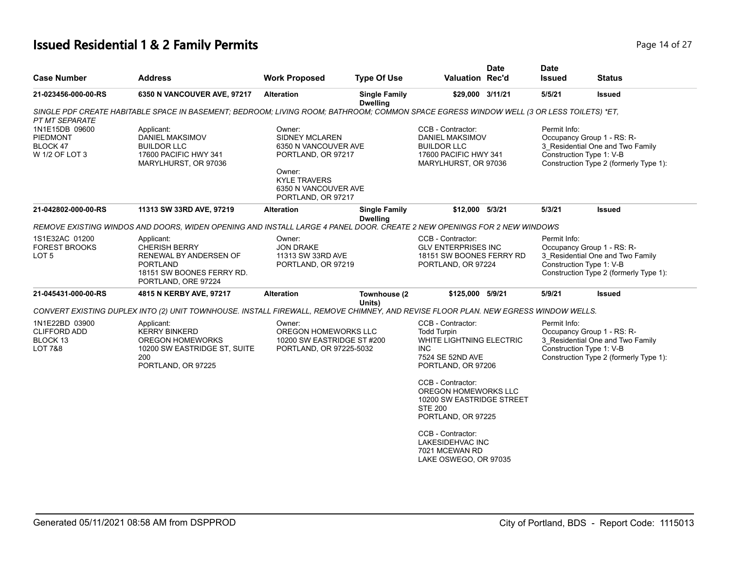# **Issued Residential 1 & 2 Family Permits Page 14 of 27 Page 14 of 27**

| <b>Case Number</b>                                                      | <b>Address</b>                                                                                                                          | <b>Work Proposed</b>                                                                                                                                         | <b>Type Of Use</b>                      | <b>Valuation Rec'd</b>                                                                                                             | <b>Date</b> | <b>Date</b><br><b>Issued</b> | <b>Status</b>                                                                                                                        |
|-------------------------------------------------------------------------|-----------------------------------------------------------------------------------------------------------------------------------------|--------------------------------------------------------------------------------------------------------------------------------------------------------------|-----------------------------------------|------------------------------------------------------------------------------------------------------------------------------------|-------------|------------------------------|--------------------------------------------------------------------------------------------------------------------------------------|
| 21-023456-000-00-RS                                                     | 6350 N VANCOUVER AVE, 97217                                                                                                             | <b>Alteration</b>                                                                                                                                            | <b>Single Family</b><br><b>Dwelling</b> | \$29,000 3/11/21                                                                                                                   |             | 5/5/21                       | <b>Issued</b>                                                                                                                        |
| PT MT SEPARATE                                                          | SINGLE PDF CREATE HABITABLE SPACE IN BASEMENT; BEDROOM; LIVING ROOM; BATHROOM; COMMON SPACE EGRESS WINDOW WELL (3 OR LESS TOILETS) *ET, |                                                                                                                                                              |                                         |                                                                                                                                    |             |                              |                                                                                                                                      |
| 1N1E15DB 09600<br><b>PIEDMONT</b><br>BLOCK 47<br>W 1/2 OF LOT 3         | Applicant:<br><b>DANIEL MAKSIMOV</b><br><b>BUILDOR LLC</b><br>17600 PACIFIC HWY 341<br>MARYLHURST, OR 97036                             | Owner:<br><b>SIDNEY MCLAREN</b><br>6350 N VANCOUVER AVE<br>PORTLAND, OR 97217<br>Owner:<br><b>KYLE TRAVERS</b><br>6350 N VANCOUVER AVE<br>PORTLAND, OR 97217 |                                         | CCB - Contractor:<br><b>DANIEL MAKSIMOV</b><br><b>BUILDOR LLC</b><br>17600 PACIFIC HWY 341<br>MARYLHURST, OR 97036                 |             | Permit Info:                 | Occupancy Group 1 - RS: R-<br>3_Residential One and Two Family<br>Construction Type 1: V-B<br>Construction Type 2 (formerly Type 1): |
| 21-042802-000-00-RS                                                     | 11313 SW 33RD AVE, 97219                                                                                                                | Alteration                                                                                                                                                   | <b>Single Family</b><br><b>Dwelling</b> | \$12,000 5/3/21                                                                                                                    |             | 5/3/21                       | <b>Issued</b>                                                                                                                        |
|                                                                         | REMOVE EXISTING WINDOS AND DOORS, WIDEN OPENING AND INSTALL LARGE 4 PANEL DOOR. CREATE 2 NEW OPENINGS FOR 2 NEW WINDOWS                 |                                                                                                                                                              |                                         |                                                                                                                                    |             |                              |                                                                                                                                      |
| 1S1E32AC 01200<br><b>FOREST BROOKS</b><br>LOT 5                         | Applicant:<br><b>CHERISH BERRY</b><br>RENEWAL BY ANDERSEN OF<br><b>PORTLAND</b><br>18151 SW BOONES FERRY RD.<br>PORTLAND, ORE 97224     | Owner:<br><b>JON DRAKE</b><br>11313 SW 33RD AVE<br>PORTLAND, OR 97219                                                                                        |                                         | CCB - Contractor:<br><b>GLV ENTERPRISES INC</b><br>18151 SW BOONES FERRY RD<br>PORTLAND, OR 97224                                  |             | Permit Info:                 | Occupancy Group 1 - RS: R-<br>3_Residential One and Two Family<br>Construction Type 1: V-B<br>Construction Type 2 (formerly Type 1): |
| 21-045431-000-00-RS                                                     | 4815 N KERBY AVE, 97217                                                                                                                 | <b>Alteration</b>                                                                                                                                            | Townhouse (2<br>Units)                  | \$125,000 5/9/21                                                                                                                   |             | 5/9/21                       | <b>Issued</b>                                                                                                                        |
|                                                                         | CONVERT EXISTING DUPLEX INTO (2) UNIT TOWNHOUSE. INSTALL FIREWALL, REMOVE CHIMNEY, AND REVISE FLOOR PLAN. NEW EGRESS WINDOW WELLS.      |                                                                                                                                                              |                                         |                                                                                                                                    |             |                              |                                                                                                                                      |
| 1N1E22BD 03900<br><b>CLIFFORD ADD</b><br>BLOCK 13<br><b>LOT 7&amp;8</b> | Applicant:<br><b>KERRY BINKERD</b><br>OREGON HOMEWORKS<br>10200 SW EASTRIDGE ST, SUITE<br>200<br>PORTLAND, OR 97225                     | Owner:<br>OREGON HOMEWORKS LLC<br>10200 SW EASTRIDGE ST #200<br>PORTLAND, OR 97225-5032                                                                      |                                         | CCB - Contractor:<br><b>Todd Turpin</b><br><b>WHITE LIGHTNING ELECTRIC</b><br><b>INC</b><br>7524 SE 52ND AVE<br>PORTLAND, OR 97206 |             | Permit Info:                 | Occupancy Group 1 - RS: R-<br>3 Residential One and Two Family<br>Construction Type 1: V-B<br>Construction Type 2 (formerly Type 1): |
|                                                                         |                                                                                                                                         |                                                                                                                                                              |                                         | CCB - Contractor:<br>OREGON HOMEWORKS LLC<br>10200 SW EASTRIDGE STREET<br><b>STE 200</b><br>PORTLAND, OR 97225                     |             |                              |                                                                                                                                      |
|                                                                         |                                                                                                                                         |                                                                                                                                                              |                                         | CCB - Contractor:<br>LAKESIDEHVAC INC<br>7021 MCEWAN RD<br>LAKE OSWEGO, OR 97035                                                   |             |                              |                                                                                                                                      |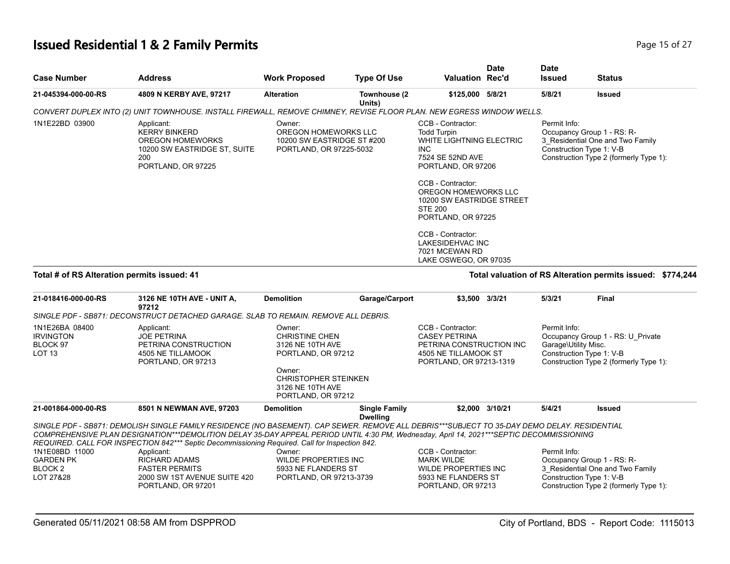# **Issued Residential 1 & 2 Family Permits Page 15 of 27 Page 15 of 27**

| <b>Case Number</b>                                                                                                                                                            | <b>Address</b>                                                                                                             | <b>Work Proposed</b>                                                                    | <b>Type Of Use</b>     | <b>Valuation Rec'd</b>                                                                                                                                                                                                                                                                                                      | <b>Date</b> | <b>Date</b><br><b>Issued</b> | <b>Status</b>                                                                                                                        |
|-------------------------------------------------------------------------------------------------------------------------------------------------------------------------------|----------------------------------------------------------------------------------------------------------------------------|-----------------------------------------------------------------------------------------|------------------------|-----------------------------------------------------------------------------------------------------------------------------------------------------------------------------------------------------------------------------------------------------------------------------------------------------------------------------|-------------|------------------------------|--------------------------------------------------------------------------------------------------------------------------------------|
| 21-045394-000-00-RS                                                                                                                                                           | 4809 N KERBY AVE, 97217                                                                                                    | <b>Alteration</b>                                                                       | Townhouse (2<br>Units) | \$125,000 5/8/21                                                                                                                                                                                                                                                                                                            |             | 5/8/21                       | <b>Issued</b>                                                                                                                        |
|                                                                                                                                                                               | CONVERT DUPLEX INTO (2) UNIT TOWNHOUSE. INSTALL FIREWALL, REMOVE CHIMNEY, REVISE FLOOR PLAN. NEW EGRESS WINDOW WELLS.      |                                                                                         |                        |                                                                                                                                                                                                                                                                                                                             |             |                              |                                                                                                                                      |
| 1N1E22BD 03900                                                                                                                                                                | Applicant:<br><b>KERRY BINKERD</b><br><b>OREGON HOMEWORKS</b><br>10200 SW EASTRIDGE ST, SUITE<br>200<br>PORTLAND, OR 97225 | Owner:<br>OREGON HOMEWORKS LLC<br>10200 SW EASTRIDGE ST #200<br>PORTLAND, OR 97225-5032 |                        | CCB - Contractor:<br><b>Todd Turpin</b><br>WHITE LIGHTNING ELECTRIC<br>INC.<br>7524 SE 52ND AVE<br>PORTLAND, OR 97206<br>CCB - Contractor:<br>OREGON HOMEWORKS LLC<br>10200 SW EASTRIDGE STREET<br><b>STE 200</b><br>PORTLAND, OR 97225<br>CCB - Contractor:<br>LAKESIDEHVAC INC<br>7021 MCEWAN RD<br>LAKE OSWEGO, OR 97035 |             | Permit Info:                 | Occupancy Group 1 - RS: R-<br>3 Residential One and Two Family<br>Construction Type 1: V-B<br>Construction Type 2 (formerly Type 1): |
| Total # of RS Alteration permits issued: 41                                                                                                                                   |                                                                                                                            |                                                                                         |                        |                                                                                                                                                                                                                                                                                                                             |             |                              | Total valuation of RS Alteration permits issued:<br>\$774,244                                                                        |
| 21-018416-000-00-RS<br>$\Omega_{11}$ $\Omega_{1}$ $\Gamma$ $\Omega_{21}$ $\Gamma$ $\Omega_{31}$ $\Gamma$ $\Omega_{31}$ $\Gamma$ $\Omega_{31}$ $\Gamma$ $\Omega_{31}$ $\Gamma$ | 3126 NE 10TH AVE - UNIT A,<br>97212<br>$\tau$ bestaalleb albuar al in to belijille beligije ili bebbio                     | <b>Demolition</b>                                                                       | Garage/Carport         | \$3,500                                                                                                                                                                                                                                                                                                                     | 3/3/21      | 5/3/21                       | <b>Final</b>                                                                                                                         |

|                                                                     | SINGLE PDF - SB871: DECONSTRUCT DETACHED GARAGE. SLAB TO REMAIN. REMOVE ALL DEBRIS.                                                                                                                                                                                                                                                                                                                      |                                                                                                                                                              |                                         |                                                                                                                          |                                                                  |                                                                             |
|---------------------------------------------------------------------|----------------------------------------------------------------------------------------------------------------------------------------------------------------------------------------------------------------------------------------------------------------------------------------------------------------------------------------------------------------------------------------------------------|--------------------------------------------------------------------------------------------------------------------------------------------------------------|-----------------------------------------|--------------------------------------------------------------------------------------------------------------------------|------------------------------------------------------------------|-----------------------------------------------------------------------------|
| 1N1E26BA 08400<br><b>IRVINGTON</b><br>BLOCK 97<br>LOT <sub>13</sub> | Applicant:<br><b>JOE PETRINA</b><br>PETRINA CONSTRUCTION<br>4505 NE TILLAMOOK<br>PORTLAND, OR 97213                                                                                                                                                                                                                                                                                                      | Owner:<br><b>CHRISTINE CHEN</b><br>3126 NE 10TH AVE<br>PORTLAND, OR 97212<br>Owner:<br><b>CHRISTOPHER STEINKEN</b><br>3126 NE 10TH AVE<br>PORTLAND, OR 97212 |                                         | CCB - Contractor:<br><b>CASEY PETRINA</b><br>PETRINA CONSTRUCTION INC<br>4505 NE TILLAMOOK ST<br>PORTLAND, OR 97213-1319 | Permit Info:<br>Garage\Utility Misc.<br>Construction Type 1: V-B | Occupancy Group 1 - RS: U Private<br>Construction Type 2 (formerly Type 1): |
| 21-001864-000-00-RS                                                 | 8501 N NEWMAN AVE, 97203                                                                                                                                                                                                                                                                                                                                                                                 | <b>Demolition</b>                                                                                                                                            | <b>Single Family</b><br><b>Dwelling</b> | \$2.000 3/10/21                                                                                                          | 5/4/21                                                           | <b>Issued</b>                                                               |
| 1N1E08BD 11000                                                      | SINGLE PDF - SB871: DEMOLISH SINGLE FAMILY RESIDENCE (NO BASEMENT). CAP SEWER. REMOVE ALL DEBRIS***SUBJECT TO 35-DAY DEMO DELAY. RESIDENTIAL<br>COMPREHENSIVE PLAN DESIGNATION***DEMOLITION DELAY 35-DAY APPEAL PERIOD UNTIL 4:30 PM, Wednesday, April 14, 2021***SEPTIC DECOMMISSIONING<br>REQUIRED. CALL FOR INSPECTION 842*** Septic Decommissioning Required. Call for Inspection 842.<br>Applicant: | Owner:                                                                                                                                                       |                                         | CCB - Contractor:                                                                                                        | Permit Info:                                                     |                                                                             |
| <b>GARDEN PK</b><br>BLOCK 2<br>LOT 27&28                            | RICHARD ADAMS<br><b>FASTER PERMITS</b><br>2000 SW 1ST AVENUE SUITE 420<br>PORTLAND, OR 97201                                                                                                                                                                                                                                                                                                             | WILDE PROPERTIES INC<br>5933 NE FLANDERS ST<br>PORTLAND, OR 97213-3739                                                                                       |                                         | <b>MARK WILDE</b><br>WILDE PROPERTIES INC<br>5933 NE FLANDERS ST<br>PORTLAND, OR 97213                                   | Occupancy Group 1 - RS: R-<br>Construction Type 1: V-B           | 3 Residential One and Two Family<br>Construction Type 2 (formerly Type 1):  |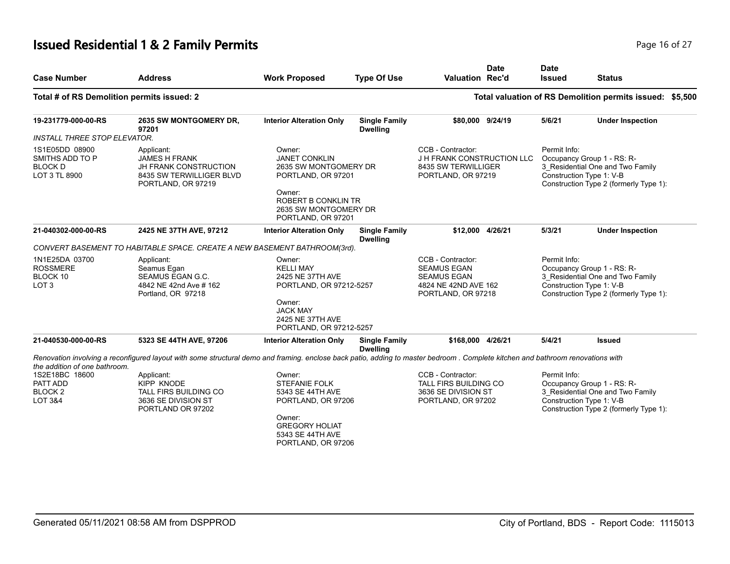# **Issued Residential 1 & 2 Family Permits Page 16 of 27 Page 16 of 27**

| <b>Case Number</b>                                                                           | <b>Address</b>                                                                                                                                                                 | <b>Work Proposed</b>                                                                                                                                          | <b>Type Of Use</b>                      | <b>Valuation Rec'd</b>                                                                                      | <b>Date</b> | <b>Date</b><br><b>Issued</b> | <b>Status</b>                                                                                                                        |  |
|----------------------------------------------------------------------------------------------|--------------------------------------------------------------------------------------------------------------------------------------------------------------------------------|---------------------------------------------------------------------------------------------------------------------------------------------------------------|-----------------------------------------|-------------------------------------------------------------------------------------------------------------|-------------|------------------------------|--------------------------------------------------------------------------------------------------------------------------------------|--|
| Total # of RS Demolition permits issued: 2                                                   |                                                                                                                                                                                |                                                                                                                                                               |                                         |                                                                                                             |             |                              | Total valuation of RS Demolition permits issued: \$5,500                                                                             |  |
| 19-231779-000-00-RS                                                                          | 2635 SW MONTGOMERY DR,<br>97201                                                                                                                                                | <b>Interior Alteration Only</b>                                                                                                                               | <b>Single Family</b><br><b>Dwelling</b> | \$80,000 9/24/19                                                                                            |             | 5/6/21                       | <b>Under Inspection</b>                                                                                                              |  |
| <b>INSTALL THREE STOP ELEVATOR.</b>                                                          |                                                                                                                                                                                |                                                                                                                                                               |                                         |                                                                                                             |             |                              |                                                                                                                                      |  |
| 1S1E05DD 08900<br>SMITHS ADD TO P<br><b>BLOCK D</b><br>LOT 3 TL 8900                         | Applicant:<br><b>JAMES H FRANK</b><br><b>JH FRANK CONSTRUCTION</b><br>8435 SW TERWILLIGER BLVD<br>PORTLAND, OR 97219                                                           | Owner:<br><b>JANET CONKLIN</b><br>2635 SW MONTGOMERY DR<br>PORTLAND, OR 97201<br>Owner:<br>ROBERT B CONKLIN TR<br>2635 SW MONTGOMERY DR<br>PORTLAND, OR 97201 |                                         | CCB - Contractor:<br>J H FRANK CONSTRUCTION LLC<br>8435 SW TERWILLIGER<br>PORTLAND, OR 97219                |             | Permit Info:                 | Occupancy Group 1 - RS: R-<br>3_Residential One and Two Family<br>Construction Type 1: V-B<br>Construction Type 2 (formerly Type 1): |  |
| 21-040302-000-00-RS                                                                          | 2425 NE 37TH AVE, 97212                                                                                                                                                        | <b>Interior Alteration Only</b>                                                                                                                               | <b>Single Family</b><br><b>Dwelling</b> | \$12,000 4/26/21                                                                                            |             | 5/3/21                       | <b>Under Inspection</b>                                                                                                              |  |
|                                                                                              | CONVERT BASEMENT TO HABITABLE SPACE. CREATE A NEW BASEMENT BATHROOM(3rd).                                                                                                      |                                                                                                                                                               |                                         |                                                                                                             |             |                              |                                                                                                                                      |  |
| 1N1E25DA 03700<br><b>ROSSMERE</b><br>BLOCK 10<br>LOT <sub>3</sub>                            | Applicant:<br>Seamus Egan<br>SEAMUS EGAN G.C.<br>4842 NE 42nd Ave # 162<br>Portland, OR 97218                                                                                  | Owner:<br><b>KELLI MAY</b><br>2425 NE 37TH AVE<br>PORTLAND, OR 97212-5257<br>Owner:<br><b>JACK MAY</b><br>2425 NE 37TH AVE<br>PORTLAND, OR 97212-5257         |                                         | CCB - Contractor:<br><b>SEAMUS EGAN</b><br><b>SEAMUS EGAN</b><br>4824 NE 42ND AVE 162<br>PORTLAND, OR 97218 |             | Permit Info:                 | Occupancy Group 1 - RS: R-<br>3_Residential One and Two Family<br>Construction Type 1: V-B<br>Construction Type 2 (formerly Type 1): |  |
| 21-040530-000-00-RS                                                                          | 5323 SE 44TH AVE, 97206                                                                                                                                                        | <b>Interior Alteration Only</b>                                                                                                                               | <b>Single Family</b><br><b>Dwelling</b> | \$168,000 4/26/21                                                                                           |             | 5/4/21                       | <b>Issued</b>                                                                                                                        |  |
|                                                                                              | Renovation involving a reconfigured layout with some structural demo and framing, enclose back patio, adding to master bedroom. Complete kitchen and bathroom renovations with |                                                                                                                                                               |                                         |                                                                                                             |             |                              |                                                                                                                                      |  |
| the addition of one bathroom.<br>1S2E18BC 18600<br>PATT ADD<br>BLOCK <sub>2</sub><br>LOT 3&4 | Applicant:<br><b>KIPP KNODE</b><br>TALL FIRS BUILDING CO<br>3636 SE DIVISION ST<br>PORTLAND OR 97202                                                                           | Owner:<br><b>STEFANIE FOLK</b><br>5343 SE 44TH AVE<br>PORTLAND, OR 97206<br>Owner:<br><b>GREGORY HOLIAT</b><br>5343 SE 44TH AVE<br>PORTLAND, OR 97206         |                                         | CCB - Contractor:<br>TALL FIRS BUILDING CO<br>3636 SE DIVISION ST<br>PORTLAND, OR 97202                     |             | Permit Info:                 | Occupancy Group 1 - RS: R-<br>3_Residential One and Two Family<br>Construction Type 1: V-B<br>Construction Type 2 (formerly Type 1): |  |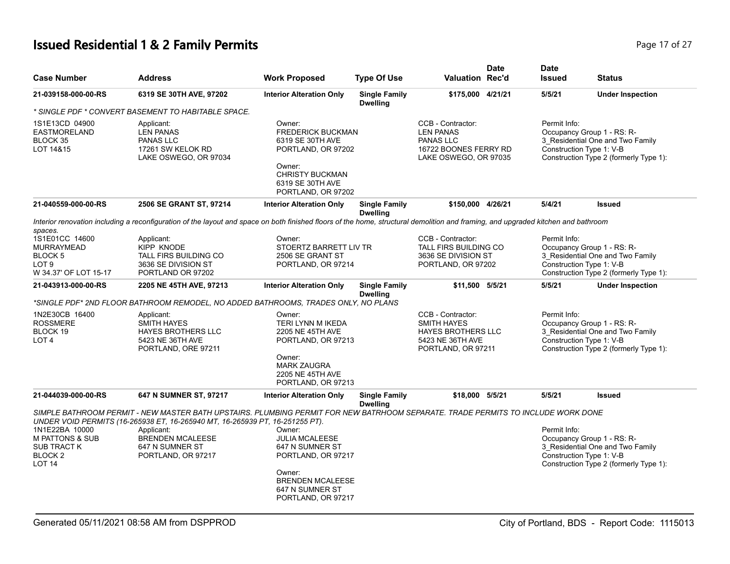# **Issued Residential 1 & 2 Family Permits Page 17 of 27 Page 17 of 27**

| <b>Case Number</b>                                                                                            | <b>Address</b>                                                                                                                                                                                                   | <b>Work Proposed</b>                                                                                                                                       | <b>Type Of Use</b>                      | <b>Valuation Rec'd</b>                                                                                         | <b>Date</b> | <b>Date</b><br><b>Issued</b>             | <b>Status</b>                                                                                            |
|---------------------------------------------------------------------------------------------------------------|------------------------------------------------------------------------------------------------------------------------------------------------------------------------------------------------------------------|------------------------------------------------------------------------------------------------------------------------------------------------------------|-----------------------------------------|----------------------------------------------------------------------------------------------------------------|-------------|------------------------------------------|----------------------------------------------------------------------------------------------------------|
| 21-039158-000-00-RS                                                                                           | 6319 SE 30TH AVE, 97202                                                                                                                                                                                          | <b>Interior Alteration Only</b>                                                                                                                            | <b>Single Family</b><br><b>Dwelling</b> | \$175,000 4/21/21                                                                                              |             | 5/5/21                                   | <b>Under Inspection</b>                                                                                  |
|                                                                                                               | * SINGLE PDF * CONVERT BASEMENT TO HABITABLE SPACE.                                                                                                                                                              |                                                                                                                                                            |                                         |                                                                                                                |             |                                          |                                                                                                          |
| 1S1E13CD 04900<br>EASTMORELAND<br>BLOCK 35<br>LOT 14&15                                                       | Applicant:<br><b>LEN PANAS</b><br>PANAS LLC<br>17261 SW KELOK RD<br>LAKE OSWEGO, OR 97034                                                                                                                        | Owner:<br><b>FREDERICK BUCKMAN</b><br>6319 SE 30TH AVE<br>PORTLAND, OR 97202<br>Owner:<br><b>CHRISTY BUCKMAN</b><br>6319 SE 30TH AVE<br>PORTLAND, OR 97202 |                                         | CCB - Contractor:<br><b>LEN PANAS</b><br>PANAS LLC<br>16722 BOONES FERRY RD<br>LAKE OSWEGO, OR 97035           |             | Permit Info:<br>Construction Type 1: V-B | Occupancy Group 1 - RS: R-<br>3_Residential One and Two Family<br>Construction Type 2 (formerly Type 1): |
| 21-040559-000-00-RS                                                                                           | 2506 SE GRANT ST, 97214                                                                                                                                                                                          | <b>Interior Alteration Only</b>                                                                                                                            | <b>Single Family</b><br><b>Dwelling</b> | \$150,000 4/26/21                                                                                              |             | 5/4/21                                   | <b>Issued</b>                                                                                            |
| spaces.                                                                                                       | Interior renovation including a reconfiguration of the layout and space on both finished floors of the home, structural demolition and framing, and upgraded kitchen and bathroom                                |                                                                                                                                                            |                                         |                                                                                                                |             |                                          |                                                                                                          |
| 1S1E01CC 14600<br><b>MURRAYMEAD</b><br>BLOCK <sub>5</sub><br>LOT <sub>9</sub><br>W 34.37' OF LOT 15-17        | Applicant:<br><b>KIPP KNODE</b><br>TALL FIRS BUILDING CO<br>3636 SE DIVISION ST<br>PORTLAND OR 97202                                                                                                             | Owner:<br>STOERTZ BARRETT LIV TR<br>2506 SE GRANT ST<br>PORTLAND, OR 97214                                                                                 |                                         | CCB - Contractor:<br>TALL FIRS BUILDING CO<br>3636 SE DIVISION ST<br>PORTLAND, OR 97202                        |             | Permit Info:<br>Construction Type 1: V-B | Occupancy Group 1 - RS: R-<br>3_Residential One and Two Family<br>Construction Type 2 (formerly Type 1): |
| 21-043913-000-00-RS                                                                                           | 2205 NE 45TH AVE, 97213                                                                                                                                                                                          | <b>Interior Alteration Only</b>                                                                                                                            | <b>Single Family</b><br><b>Dwelling</b> | \$11,500 5/5/21                                                                                                |             | 5/5/21                                   | <b>Under Inspection</b>                                                                                  |
|                                                                                                               | *SINGLE PDF* 2ND FLOOR BATHROOM REMODEL, NO ADDED BATHROOMS, TRADES ONLY, NO PLANS                                                                                                                               |                                                                                                                                                            |                                         |                                                                                                                |             |                                          |                                                                                                          |
| 1N2E30CB 16400<br><b>ROSSMERE</b><br>BLOCK 19<br>LOT <sub>4</sub>                                             | Applicant:<br><b>SMITH HAYES</b><br><b>HAYES BROTHERS LLC</b><br>5423 NE 36TH AVE<br>PORTLAND, ORE 97211                                                                                                         | Owner:<br><b>TERI LYNN M IKEDA</b><br>2205 NE 45TH AVE<br>PORTLAND, OR 97213<br>Owner:<br><b>MARK ZAUGRA</b><br>2205 NE 45TH AVE                           |                                         | CCB - Contractor:<br><b>SMITH HAYES</b><br><b>HAYES BROTHERS LLC</b><br>5423 NE 36TH AVE<br>PORTLAND, OR 97211 |             | Permit Info:<br>Construction Type 1: V-B | Occupancy Group 1 - RS: R-<br>3 Residential One and Two Family<br>Construction Type 2 (formerly Type 1): |
|                                                                                                               |                                                                                                                                                                                                                  | PORTLAND, OR 97213                                                                                                                                         |                                         |                                                                                                                |             |                                          |                                                                                                          |
| 21-044039-000-00-RS                                                                                           | 647 N SUMNER ST, 97217                                                                                                                                                                                           | <b>Interior Alteration Only</b>                                                                                                                            | <b>Single Family</b><br><b>Dwelling</b> | \$18,000 5/5/21                                                                                                |             | 5/5/21                                   | <b>Issued</b>                                                                                            |
|                                                                                                               | SIMPLE BATHROOM PERMIT - NEW MASTER BATH UPSTAIRS. PLUMBING PERMIT FOR NEW BATRHOOM SEPARATE. TRADE PERMITS TO INCLUDE WORK DONE<br>UNDER VOID PERMITS (16-265938 ET, 16-265940 MT, 16-265939 PT, 16-251255 PT). |                                                                                                                                                            |                                         |                                                                                                                |             |                                          |                                                                                                          |
| 1N1E22BA 10000<br><b>M PATTONS &amp; SUB</b><br><b>SUB TRACT K</b><br>BLOCK <sub>2</sub><br>LOT <sub>14</sub> | Applicant:<br><b>BRENDEN MCALEESE</b><br>647 N SUMNER ST<br>PORTLAND, OR 97217                                                                                                                                   | Owner:<br><b>JULIA MCALEESE</b><br>647 N SUMNER ST<br>PORTLAND, OR 97217<br>Owner:<br><b>BRENDEN MCALEESE</b><br>647 N SUMNER ST<br>PORTLAND, OR 97217     |                                         |                                                                                                                |             | Permit Info:<br>Construction Type 1: V-B | Occupancy Group 1 - RS: R-<br>3 Residential One and Two Family<br>Construction Type 2 (formerly Type 1): |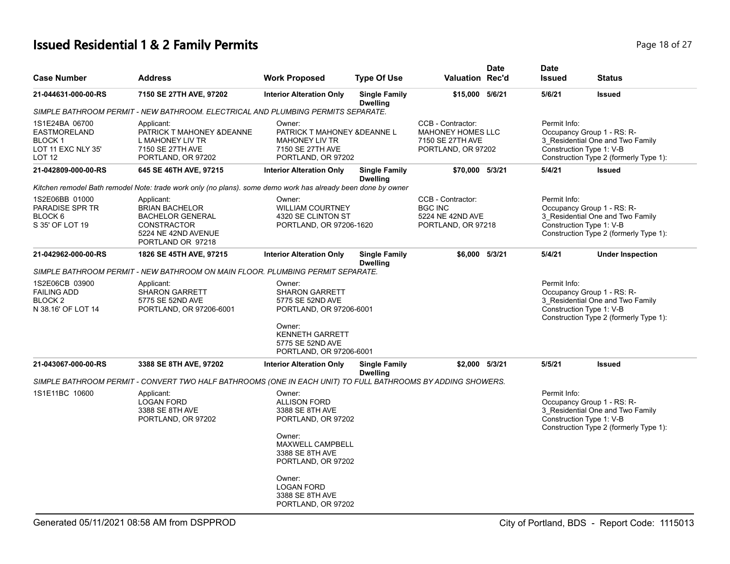# **Issued Residential 1 & 2 Family Permits Page 18 of 27 Page 18 of 27**

| <b>Case Number</b>                                                                     | <b>Address</b>                                                                                                                   | <b>Work Proposed</b>                                                                                                                   | <b>Type Of Use</b>                      | <b>Valuation Rec'd</b>                                                                  | <b>Date</b> | <b>Date</b><br><b>Issued</b> | <b>Status</b>                                                                                                                        |
|----------------------------------------------------------------------------------------|----------------------------------------------------------------------------------------------------------------------------------|----------------------------------------------------------------------------------------------------------------------------------------|-----------------------------------------|-----------------------------------------------------------------------------------------|-------------|------------------------------|--------------------------------------------------------------------------------------------------------------------------------------|
| 21-044631-000-00-RS                                                                    | 7150 SE 27TH AVE, 97202                                                                                                          | <b>Interior Alteration Only</b>                                                                                                        | <b>Single Family</b><br><b>Dwelling</b> | \$15,000 5/6/21                                                                         |             | 5/6/21                       | <b>Issued</b>                                                                                                                        |
|                                                                                        | SIMPLE BATHROOM PERMIT - NEW BATHROOM. ELECTRICAL AND PLUMBING PERMITS SEPARATE.                                                 |                                                                                                                                        |                                         |                                                                                         |             |                              |                                                                                                                                      |
| 1S1E24BA 06700<br><b>EASTMORELAND</b><br><b>BLOCK1</b><br>LOT 11 EXC NLY 35'<br>LOT 12 | Applicant:<br>PATRICK T MAHONEY & DEANNE<br>L MAHONEY LIV TR<br>7150 SE 27TH AVE<br>PORTLAND, OR 97202                           | Owner:<br>PATRICK T MAHONEY & DEANNE L<br><b>MAHONEY LIV TR</b><br>7150 SE 27TH AVE<br>PORTLAND, OR 97202                              |                                         | CCB - Contractor:<br><b>MAHONEY HOMES LLC</b><br>7150 SE 27TH AVE<br>PORTLAND, OR 97202 |             | Permit Info:                 | Occupancy Group 1 - RS: R-<br>3_Residential One and Two Family<br>Construction Type 1: V-B<br>Construction Type 2 (formerly Type 1): |
| 21-042809-000-00-RS                                                                    | 645 SE 46TH AVE, 97215                                                                                                           | <b>Interior Alteration Only</b>                                                                                                        | <b>Single Family</b><br><b>Dwelling</b> | \$70,000 5/3/21                                                                         |             | 5/4/21                       | <b>Issued</b>                                                                                                                        |
|                                                                                        | Kitchen remodel Bath remodel Note: trade work only (no plans). some demo work has already been done by owner                     |                                                                                                                                        |                                         |                                                                                         |             |                              |                                                                                                                                      |
| 1S2E06BB 01000<br>PARADISE SPR TR<br>BLOCK 6<br>S 35' OF LOT 19                        | Applicant:<br><b>BRIAN BACHELOR</b><br><b>BACHELOR GENERAL</b><br><b>CONSTRACTOR</b><br>5224 NE 42ND AVENUE<br>PORTLAND OR 97218 | Owner:<br><b>WILLIAM COURTNEY</b><br>4320 SE CLINTON ST<br>PORTLAND, OR 97206-1620                                                     |                                         | CCB - Contractor:<br><b>BGC INC</b><br>5224 NE 42ND AVE<br>PORTLAND, OR 97218           |             | Permit Info:                 | Occupancy Group 1 - RS: R-<br>3 Residential One and Two Family<br>Construction Type 1: V-B<br>Construction Type 2 (formerly Type 1): |
| 21-042962-000-00-RS                                                                    | 1826 SE 45TH AVE, 97215                                                                                                          | <b>Interior Alteration Only</b>                                                                                                        | <b>Single Family</b><br><b>Dwelling</b> | \$6.000 5/3/21                                                                          |             | 5/4/21                       | <b>Under Inspection</b>                                                                                                              |
|                                                                                        | SIMPLE BATHROOM PERMIT - NEW BATHROOM ON MAIN FLOOR. PLUMBING PERMIT SEPARATE.                                                   |                                                                                                                                        |                                         |                                                                                         |             |                              |                                                                                                                                      |
| 1S2E06CB 03900<br><b>FAILING ADD</b><br>BLOCK 2<br>N 38.16' OF LOT 14                  | Applicant:<br><b>SHARON GARRETT</b><br>5775 SE 52ND AVE<br>PORTLAND, OR 97206-6001                                               | Owner:<br><b>SHARON GARRETT</b><br>5775 SE 52ND AVE<br>PORTLAND, OR 97206-6001<br>Owner:<br><b>KENNETH GARRETT</b><br>5775 SE 52ND AVE |                                         |                                                                                         |             | Permit Info:                 | Occupancy Group 1 - RS: R-<br>3 Residential One and Two Family<br>Construction Type 1: V-B<br>Construction Type 2 (formerly Type 1): |
|                                                                                        |                                                                                                                                  | PORTLAND, OR 97206-6001                                                                                                                |                                         |                                                                                         |             |                              |                                                                                                                                      |
| 21-043067-000-00-RS                                                                    | 3388 SE 8TH AVE, 97202                                                                                                           | <b>Interior Alteration Only</b>                                                                                                        | <b>Single Family</b><br><b>Dwelling</b> | \$2,000 5/3/21                                                                          |             | 5/5/21                       | <b>Issued</b>                                                                                                                        |
|                                                                                        | SIMPLE BATHROOM PERMIT - CONVERT TWO HALF BATHROOMS (ONE IN EACH UNIT) TO FULL BATHROOMS BY ADDING SHOWERS.                      |                                                                                                                                        |                                         |                                                                                         |             |                              |                                                                                                                                      |
| 1S1E11BC 10600                                                                         | Applicant:<br><b>LOGAN FORD</b><br>3388 SE 8TH AVE<br>PORTLAND, OR 97202                                                         | Owner:<br><b>ALLISON FORD</b><br>3388 SE 8TH AVE<br>PORTLAND, OR 97202<br>Owner:                                                       |                                         |                                                                                         |             | Permit Info:                 | Occupancy Group 1 - RS: R-<br>3 Residential One and Two Family<br>Construction Type 1: V-B<br>Construction Type 2 (formerly Type 1): |
|                                                                                        |                                                                                                                                  | MAXWELL CAMPBELL<br>3388 SE 8TH AVE<br>PORTLAND, OR 97202                                                                              |                                         |                                                                                         |             |                              |                                                                                                                                      |
|                                                                                        |                                                                                                                                  | Owner:<br><b>LOGAN FORD</b><br>3388 SE 8TH AVE<br>PORTLAND, OR 97202                                                                   |                                         |                                                                                         |             |                              |                                                                                                                                      |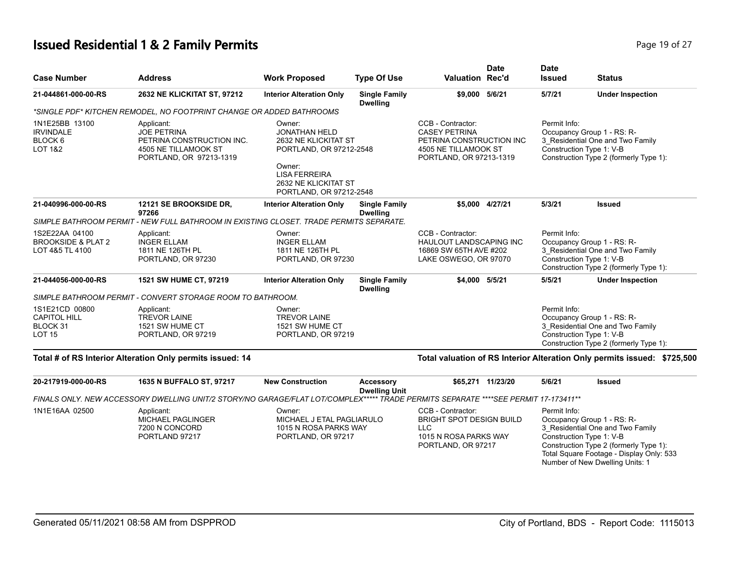#### **Issued Residential 1 & 2 Family Permits Page 19 of 27 Page 19 of 27**

| <b>Case Number</b>                                                 | <b>Address</b>                                                                                                                     | <b>Work Proposed</b>                                                                                                                                                   | <b>Type Of Use</b>                       | <b>Date</b><br><b>Valuation Rec'd</b>                                                                                    | <b>Date</b><br><b>Issued</b> | <b>Status</b>                                                                                                                                                                    |
|--------------------------------------------------------------------|------------------------------------------------------------------------------------------------------------------------------------|------------------------------------------------------------------------------------------------------------------------------------------------------------------------|------------------------------------------|--------------------------------------------------------------------------------------------------------------------------|------------------------------|----------------------------------------------------------------------------------------------------------------------------------------------------------------------------------|
| 21-044861-000-00-RS                                                | 2632 NE KLICKITAT ST, 97212                                                                                                        | <b>Interior Alteration Only</b>                                                                                                                                        | <b>Single Family</b><br><b>Dwelling</b>  | \$9,000 5/6/21                                                                                                           | 5/7/21                       | <b>Under Inspection</b>                                                                                                                                                          |
|                                                                    | *SINGLE PDF* KITCHEN REMODEL, NO FOOTPRINT CHANGE OR ADDED BATHROOMS                                                               |                                                                                                                                                                        |                                          |                                                                                                                          |                              |                                                                                                                                                                                  |
| 1N1E25BB 13100<br><b>IRVINDALE</b><br>BLOCK 6<br>LOT 1&2           | Applicant:<br><b>JOE PETRINA</b><br>PETRINA CONSTRUCTION INC.<br>4505 NE TILLAMOOK ST<br>PORTLAND, OR 97213-1319                   | Owner:<br><b>JONATHAN HELD</b><br>2632 NE KLICKITAT ST<br>PORTLAND, OR 97212-2548<br>Owner:<br><b>LISA FERREIRA</b><br>2632 NE KLICKITAT ST<br>PORTLAND, OR 97212-2548 |                                          | CCB - Contractor:<br><b>CASEY PETRINA</b><br>PETRINA CONSTRUCTION INC<br>4505 NE TILLAMOOK ST<br>PORTLAND, OR 97213-1319 | Permit Info:                 | Occupancy Group 1 - RS: R-<br>3_Residential One and Two Family<br>Construction Type 1: V-B<br>Construction Type 2 (formerly Type 1):                                             |
| 21-040996-000-00-RS                                                | 12121 SE BROOKSIDE DR.<br>97266                                                                                                    | <b>Interior Alteration Only</b>                                                                                                                                        | <b>Single Family</b><br><b>Dwelling</b>  | \$5.000 4/27/21                                                                                                          | 5/3/21                       | <b>Issued</b>                                                                                                                                                                    |
|                                                                    | SIMPLE BATHROOM PERMIT - NEW FULL BATHROOM IN EXISTING CLOSET. TRADE PERMITS SEPARATE.                                             |                                                                                                                                                                        |                                          |                                                                                                                          |                              |                                                                                                                                                                                  |
| 1S2E22AA 04100<br><b>BROOKSIDE &amp; PLAT 2</b><br>LOT 4&5 TL 4100 | Applicant:<br><b>INGER ELLAM</b><br>1811 NE 126TH PL<br>PORTLAND, OR 97230                                                         | Owner:<br><b>INGER ELLAM</b><br>1811 NE 126TH PL<br>PORTLAND, OR 97230                                                                                                 |                                          | CCB - Contractor:<br>HAULOUT LANDSCAPING INC<br>16869 SW 65TH AVE #202<br>LAKE OSWEGO, OR 97070                          | Permit Info:                 | Occupancy Group 1 - RS: R-<br>3 Residential One and Two Family<br>Construction Type 1: V-B<br>Construction Type 2 (formerly Type 1):                                             |
| 21-044056-000-00-RS                                                | 1521 SW HUME CT, 97219                                                                                                             | <b>Interior Alteration Only</b>                                                                                                                                        | <b>Single Family</b><br><b>Dwelling</b>  | \$4,000 5/5/21                                                                                                           | 5/5/21                       | <b>Under Inspection</b>                                                                                                                                                          |
|                                                                    | SIMPLE BATHROOM PERMIT - CONVERT STORAGE ROOM TO BATHROOM.                                                                         |                                                                                                                                                                        |                                          |                                                                                                                          |                              |                                                                                                                                                                                  |
| 1S1E21CD 00800<br><b>CAPITOL HILL</b><br>BLOCK 31<br><b>LOT 15</b> | Applicant:<br><b>TREVOR LAINE</b><br>1521 SW HUME CT<br>PORTLAND, OR 97219                                                         | Owner:<br><b>TREVOR LAINE</b><br>1521 SW HUME CT<br>PORTLAND, OR 97219                                                                                                 |                                          |                                                                                                                          | Permit Info:                 | Occupancy Group 1 - RS: R-<br>3_Residential One and Two Family<br>Construction Type 1: V-B<br>Construction Type 2 (formerly Type 1):                                             |
|                                                                    | Total # of RS Interior Alteration Only permits issued: 14                                                                          |                                                                                                                                                                        |                                          |                                                                                                                          |                              | Total valuation of RS Interior Alteration Only permits issued: \$725,500                                                                                                         |
| 20-217919-000-00-RS                                                | 1635 N BUFFALO ST, 97217                                                                                                           | <b>New Construction</b>                                                                                                                                                | <b>Accessory</b><br><b>Dwelling Unit</b> | \$65,271 11/23/20                                                                                                        | 5/6/21                       | <b>Issued</b>                                                                                                                                                                    |
|                                                                    | FINALS ONLY. NEW ACCESSORY DWELLING UNIT/2 STORY/NO GARAGE/FLAT LOT/COMPLEX***** TRADE PERMITS SEPARATE ****SEE PERMIT 17-173411** |                                                                                                                                                                        |                                          |                                                                                                                          |                              |                                                                                                                                                                                  |
| 1N1E16AA 02500                                                     | Applicant:<br><b>MICHAEL PAGLINGER</b><br>7200 N CONCORD<br>PORTLAND 97217                                                         | Owner:<br>MICHAEL J ETAL PAGLIARULO<br>1015 N ROSA PARKS WAY<br>PORTLAND, OR 97217                                                                                     |                                          | CCB - Contractor:<br><b>BRIGHT SPOT DESIGN BUILD</b><br><b>LLC</b><br>1015 N ROSA PARKS WAY<br>PORTLAND, OR 97217        | Permit Info:                 | Occupancy Group 1 - RS: R-<br>3_Residential One and Two Family<br>Construction Type 1: V-B<br>Construction Type 2 (formerly Type 1):<br>Total Square Footage - Display Only: 533 |

Number of New Dwelling Units: 1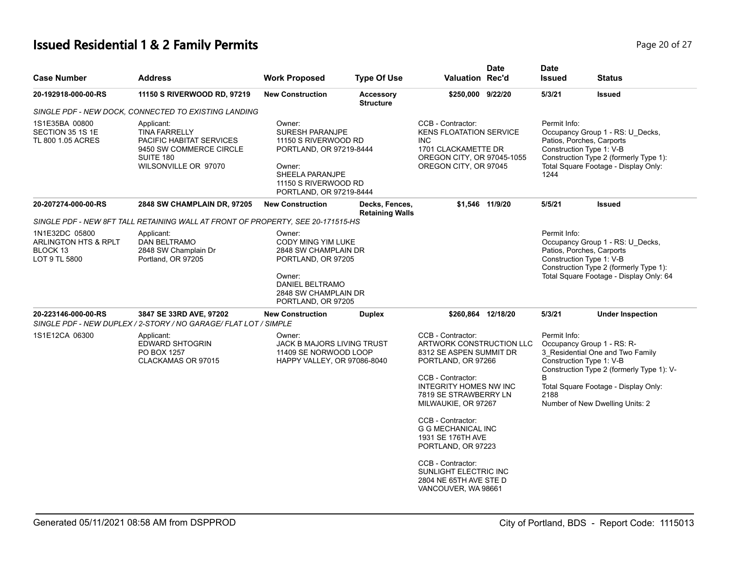# **Issued Residential 1 & 2 Family Permits**

| Page 20 of 27 |
|---------------|
|---------------|

| <b>Case Number</b>                                                             | <b>Address</b>                                                                                                                                                            | <b>Work Proposed</b>                                                                                                                                         | <b>Type Of Use</b>                       | <b>Valuation Rec'd</b>                                                                                                                                                                                                                                        | <b>Date</b>     | <b>Date</b><br><b>Issued</b>                                                  | <b>Status</b>                                                                                                                                                                          |
|--------------------------------------------------------------------------------|---------------------------------------------------------------------------------------------------------------------------------------------------------------------------|--------------------------------------------------------------------------------------------------------------------------------------------------------------|------------------------------------------|---------------------------------------------------------------------------------------------------------------------------------------------------------------------------------------------------------------------------------------------------------------|-----------------|-------------------------------------------------------------------------------|----------------------------------------------------------------------------------------------------------------------------------------------------------------------------------------|
| 20-192918-000-00-RS                                                            | 11150 S RIVERWOOD RD, 97219                                                                                                                                               | <b>New Construction</b>                                                                                                                                      | <b>Accessory</b><br><b>Structure</b>     | \$250,000 9/22/20                                                                                                                                                                                                                                             |                 | 5/3/21                                                                        | <b>Issued</b>                                                                                                                                                                          |
|                                                                                | SINGLE PDF - NEW DOCK, CONNECTED TO EXISTING LANDING                                                                                                                      |                                                                                                                                                              |                                          |                                                                                                                                                                                                                                                               |                 |                                                                               |                                                                                                                                                                                        |
| 1S1E35BA 00800<br>SECTION 35 1S 1E<br>TL 800 1.05 ACRES                        | Applicant:<br><b>TINA FARRELLY</b><br>PACIFIC HABITAT SERVICES<br>9450 SW COMMERCE CIRCLE<br>SUITE 180<br>WILSONVILLE OR 97070                                            | Owner:<br>SURESH PARANJPE<br>11150 S RIVERWOOD RD<br>PORTLAND, OR 97219-8444<br>Owner:<br>SHEELA PARANJPE<br>11150 S RIVERWOOD RD<br>PORTLAND, OR 97219-8444 |                                          | CCB - Contractor:<br><b>KENS FLOATATION SERVICE</b><br><b>INC</b><br>1701 CLACKAMETTE DR<br>OREGON CITY, OR 97045-1055<br>OREGON CITY, OR 97045                                                                                                               |                 | Permit Info:<br>Patios, Porches, Carports<br>Construction Type 1: V-B<br>1244 | Occupancy Group 1 - RS: U_Decks,<br>Construction Type 2 (formerly Type 1):<br>Total Square Footage - Display Only:                                                                     |
| 20-207274-000-00-RS                                                            | 2848 SW CHAMPLAIN DR, 97205                                                                                                                                               | <b>New Construction</b>                                                                                                                                      | Decks, Fences,<br><b>Retaining Walls</b> |                                                                                                                                                                                                                                                               | \$1,546 11/9/20 | 5/5/21                                                                        | <b>Issued</b>                                                                                                                                                                          |
|                                                                                | SINGLE PDF - NEW 8FT TALL RETAINING WALL AT FRONT OF PROPERTY, SEE 20-171515-HS                                                                                           |                                                                                                                                                              |                                          |                                                                                                                                                                                                                                                               |                 |                                                                               |                                                                                                                                                                                        |
| 1N1E32DC 05800<br><b>ARLINGTON HTS &amp; RPLT</b><br>BLOCK 13<br>LOT 9 TL 5800 | Applicant:<br>DAN BELTRAMO<br>2848 SW Champlain Dr<br>Portland, OR 97205                                                                                                  | Owner:<br>CODY MING YIM LUKE<br>2848 SW CHAMPLAIN DR<br>PORTLAND, OR 97205<br>Owner:<br><b>DANIEL BELTRAMO</b><br>2848 SW CHAMPLAIN DR<br>PORTLAND, OR 97205 |                                          |                                                                                                                                                                                                                                                               |                 | Permit Info:<br>Patios, Porches, Carports<br>Construction Type 1: V-B         | Occupancy Group 1 - RS: U_Decks,<br>Construction Type 2 (formerly Type 1):<br>Total Square Footage - Display Only: 64                                                                  |
| 20-223146-000-00-RS                                                            | 3847 SE 33RD AVE, 97202<br>SINGLE PDF - NEW DUPLEX / 2-STORY / NO GARAGE/ FLAT LOT / SIMPLE                                                                               | <b>New Construction</b>                                                                                                                                      | <b>Duplex</b>                            | \$260,864 12/18/20                                                                                                                                                                                                                                            |                 | 5/3/21                                                                        | <b>Under Inspection</b>                                                                                                                                                                |
| 1S1E12CA 06300                                                                 | Owner:<br>Applicant:<br>EDWARD SHTOGRIN<br><b>JACK B MAJORS LIVING TRUST</b><br>PO BOX 1257<br>11409 SE NORWOOD LOOP<br>CLACKAMAS OR 97015<br>HAPPY VALLEY, OR 97086-8040 |                                                                                                                                                              |                                          | CCB - Contractor:<br><b>ARTWORK CONSTRUCTION LLC</b><br>8312 SE ASPEN SUMMIT DR<br>PORTLAND, OR 97266<br>CCB - Contractor:<br><b>INTEGRITY HOMES NW INC</b><br>7819 SE STRAWBERRY LN<br>MILWAUKIE, OR 97267<br>CCB - Contractor:<br><b>G G MECHANICAL INC</b> |                 | Permit Info:<br>Construction Type 1: V-B<br>B<br>2188                         | Occupancy Group 1 - RS: R-<br>3_Residential One and Two Family<br>Construction Type 2 (formerly Type 1): V-<br>Total Square Footage - Display Only:<br>Number of New Dwelling Units: 2 |
|                                                                                |                                                                                                                                                                           |                                                                                                                                                              |                                          | 1931 SE 176TH AVE<br>PORTLAND, OR 97223<br>CCB - Contractor:<br>SUNLIGHT ELECTRIC INC<br>2804 NE 65TH AVE STE D<br>VANCOUVER, WA 98661                                                                                                                        |                 |                                                                               |                                                                                                                                                                                        |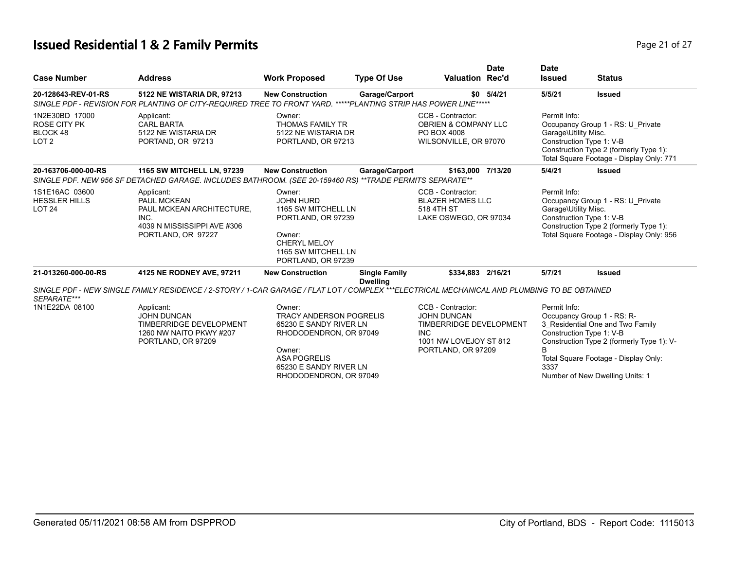# **Issued Residential 1 & 2 Family Permits Page 21 of 27 Page 21 of 27**

| <b>Case Number</b>                                                    | <b>Address</b>                                                                                                                                | <b>Work Proposed</b>                                                                                                                                                              | <b>Type Of Use</b>                      | <b>Valuation Rec'd</b>                                                                                                           | <b>Date</b> | <b>Date</b><br><b>Issued</b>         | <b>Status</b>                                                                                                                                                                                                      |
|-----------------------------------------------------------------------|-----------------------------------------------------------------------------------------------------------------------------------------------|-----------------------------------------------------------------------------------------------------------------------------------------------------------------------------------|-----------------------------------------|----------------------------------------------------------------------------------------------------------------------------------|-------------|--------------------------------------|--------------------------------------------------------------------------------------------------------------------------------------------------------------------------------------------------------------------|
| 20-128643-REV-01-RS                                                   | 5122 NE WISTARIA DR, 97213<br>SINGLE PDF - REVISION FOR PLANTING OF CITY-REQUIRED TREE TO FRONT YARD. *****PLANTING STRIP HAS POWER LINE***** | <b>New Construction</b>                                                                                                                                                           | Garage/Carport                          | \$0                                                                                                                              | 5/4/21      | 5/5/21                               | <b>Issued</b>                                                                                                                                                                                                      |
| 1N2E30BD 17000<br><b>ROSE CITY PK</b><br>BLOCK 48<br>LOT <sub>2</sub> | Applicant:<br><b>CARL BARTA</b><br>5122 NE WISTARIA DR<br>PORTAND, OR 97213                                                                   | Owner:<br><b>THOMAS FAMILY TR</b><br>5122 NE WISTARIA DR<br>PORTLAND, OR 97213                                                                                                    |                                         | CCB - Contractor:<br><b>OBRIEN &amp; COMPANY LLC</b><br>PO BOX 4008<br>WILSONVILLE, OR 97070                                     |             | Permit Info:<br>Garage\Utility Misc. | Occupancy Group 1 - RS: U_Private<br>Construction Type 1: V-B<br>Construction Type 2 (formerly Type 1):<br>Total Square Footage - Display Only: 771                                                                |
| 20-163706-000-00-RS                                                   | 1165 SW MITCHELL LN, 97239<br>SINGLE PDF. NEW 956 SF DETACHED GARAGE. INCLUDES BATHROOM. (SEE 20-159460 RS) **TRADE PERMITS SEPARATE**        | <b>New Construction</b>                                                                                                                                                           | Garage/Carport                          | \$163,000                                                                                                                        | 7/13/20     | 5/4/21                               | <b>Issued</b>                                                                                                                                                                                                      |
| 1S1E16AC 03600<br><b>HESSLER HILLS</b><br><b>LOT 24</b>               | Applicant:<br>PAUL MCKEAN<br>PAUL MCKEAN ARCHITECTURE,<br>INC.<br>4039 N MISSISSIPPI AVE #306<br>PORTLAND, OR 97227                           | Owner:<br><b>JOHN HURD</b><br>1165 SW MITCHELL LN<br>PORTLAND, OR 97239<br>Owner:<br>CHERYL MELOY<br>1165 SW MITCHELL LN<br>PORTLAND, OR 97239                                    |                                         | CCB - Contractor:<br><b>BLAZER HOMES LLC</b><br>518 4TH ST<br>LAKE OSWEGO, OR 97034                                              |             | Permit Info:<br>Garage\Utility Misc. | Occupancy Group 1 - RS: U_Private<br>Construction Type 1: V-B<br>Construction Type 2 (formerly Type 1):<br>Total Square Footage - Display Only: 956                                                                |
| 21-013260-000-00-RS                                                   | 4125 NE RODNEY AVE, 97211                                                                                                                     | <b>New Construction</b>                                                                                                                                                           | <b>Single Family</b><br><b>Dwelling</b> | \$334,883 2/16/21                                                                                                                |             | 5/7/21                               | <b>Issued</b>                                                                                                                                                                                                      |
| SEPARATE***                                                           | SINGLE PDF - NEW SINGLE FAMILY RESIDENCE / 2-STORY / 1-CAR GARAGE / FLAT LOT / COMPLEX ***ELECTRICAL MECHANICAL AND PLUMBING TO BE OBTAINED   |                                                                                                                                                                                   |                                         |                                                                                                                                  |             |                                      |                                                                                                                                                                                                                    |
| 1N1E22DA 08100                                                        | Applicant:<br><b>JOHN DUNCAN</b><br>TIMBERRIDGE DEVELOPMENT<br>1260 NW NAITO PKWY #207<br>PORTLAND, OR 97209                                  | Owner:<br><b>TRACY ANDERSON POGRELIS</b><br>65230 E SANDY RIVER LN<br>RHODODENDRON, OR 97049<br>Owner:<br><b>ASA POGRELIS</b><br>65230 E SANDY RIVER LN<br>RHODODENDRON, OR 97049 |                                         | CCB - Contractor:<br><b>JOHN DUNCAN</b><br>TIMBERRIDGE DEVELOPMENT<br><b>INC</b><br>1001 NW LOVEJOY ST 812<br>PORTLAND, OR 97209 |             | Permit Info:<br>B<br>3337            | Occupancy Group 1 - RS: R-<br>3 Residential One and Two Family<br>Construction Type 1: V-B<br>Construction Type 2 (formerly Type 1): V-<br>Total Square Footage - Display Only:<br>Number of New Dwelling Units: 1 |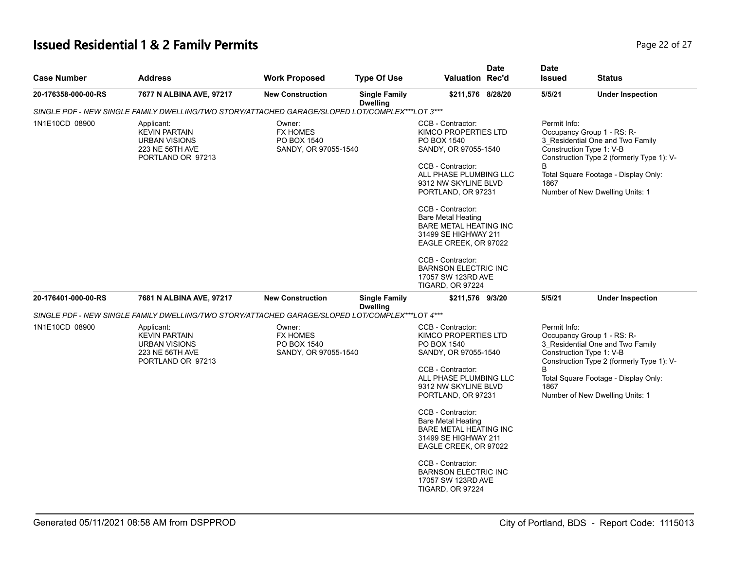# **Issued Residential 1 & 2 Family Permits Page 22 of 27 Page 22 of 27**

| <b>Case Number</b>  | <b>Address</b>                                                                                     | <b>Work Proposed</b>                                             | <b>Type Of Use</b>                      | <b>Valuation Rec'd</b>                                                                                                                                                                                                                | <b>Date</b>                                                                                                                                                                                                                                                                                                                                                                         | <b>Date</b><br><b>Issued</b> | <b>Status</b>                                                                                                                                                                                                      |
|---------------------|----------------------------------------------------------------------------------------------------|------------------------------------------------------------------|-----------------------------------------|---------------------------------------------------------------------------------------------------------------------------------------------------------------------------------------------------------------------------------------|-------------------------------------------------------------------------------------------------------------------------------------------------------------------------------------------------------------------------------------------------------------------------------------------------------------------------------------------------------------------------------------|------------------------------|--------------------------------------------------------------------------------------------------------------------------------------------------------------------------------------------------------------------|
| 20-176358-000-00-RS | 7677 N ALBINA AVE, 97217                                                                           | <b>New Construction</b>                                          | <b>Single Family</b><br><b>Dwelling</b> | \$211,576 8/28/20                                                                                                                                                                                                                     |                                                                                                                                                                                                                                                                                                                                                                                     | 5/5/21                       | <b>Under Inspection</b>                                                                                                                                                                                            |
|                     | SINGLE PDF - NEW SINGLE FAMILY DWELLING/TWO STORY/ATTACHED GARAGE/SLOPED LOT/COMPLEX***LOT 3***    |                                                                  |                                         |                                                                                                                                                                                                                                       |                                                                                                                                                                                                                                                                                                                                                                                     |                              |                                                                                                                                                                                                                    |
| 1N1E10CD 08900      | Applicant:<br><b>KEVIN PARTAIN</b><br><b>URBAN VISIONS</b><br>223 NE 56TH AVE<br>PORTLAND OR 97213 | Owner:<br><b>FX HOMES</b><br>PO BOX 1540                         | SANDY, OR 97055-1540                    |                                                                                                                                                                                                                                       | Permit Info:<br>CCB - Contractor:<br>Occupancy Group 1 - RS: R-<br>KIMCO PROPERTIES LTD<br>PO BOX 1540<br>3 Residential One and Two Family<br>SANDY, OR 97055-1540<br>Construction Type 1: V-B<br>B<br>CCB - Contractor:<br>ALL PHASE PLUMBING LLC<br>Total Square Footage - Display Only:<br>1867<br>9312 NW SKYLINE BLVD<br>Number of New Dwelling Units: 1<br>PORTLAND, OR 97231 |                              | Construction Type 2 (formerly Type 1): V-                                                                                                                                                                          |
|                     |                                                                                                    |                                                                  |                                         | CCB - Contractor:<br><b>Bare Metal Heating</b><br><b>BARE METAL HEATING INC</b><br>31499 SE HIGHWAY 211<br>EAGLE CREEK, OR 97022<br>CCB - Contractor:<br><b>BARNSON ELECTRIC INC</b><br>17057 SW 123RD AVE<br><b>TIGARD, OR 97224</b> |                                                                                                                                                                                                                                                                                                                                                                                     |                              |                                                                                                                                                                                                                    |
| 20-176401-000-00-RS | 7681 N ALBINA AVE, 97217                                                                           | <b>New Construction</b>                                          | <b>Single Family</b><br><b>Dwelling</b> | \$211,576 9/3/20                                                                                                                                                                                                                      |                                                                                                                                                                                                                                                                                                                                                                                     | 5/5/21                       | <b>Under Inspection</b>                                                                                                                                                                                            |
|                     | SINGLE PDF - NEW SINGLE FAMILY DWELLING/TWO STORY/ATTACHED GARAGE/SLOPED LOT/COMPLEX***LOT 4***    |                                                                  |                                         |                                                                                                                                                                                                                                       |                                                                                                                                                                                                                                                                                                                                                                                     |                              |                                                                                                                                                                                                                    |
| 1N1E10CD 08900      | Applicant:<br><b>KEVIN PARTAIN</b><br><b>URBAN VISIONS</b><br>223 NE 56TH AVE<br>PORTLAND OR 97213 | Owner:<br><b>FX HOMES</b><br>PO BOX 1540<br>SANDY, OR 97055-1540 |                                         | CCB - Contractor:<br>KIMCO PROPERTIES LTD<br>PO BOX 1540<br>SANDY, OR 97055-1540<br>CCB - Contractor:<br>ALL PHASE PLUMBING LLC<br>9312 NW SKYLINE BLVD<br>PORTLAND, OR 97231                                                         |                                                                                                                                                                                                                                                                                                                                                                                     | Permit Info:<br>B<br>1867    | Occupancy Group 1 - RS: R-<br>3_Residential One and Two Family<br>Construction Type 1: V-B<br>Construction Type 2 (formerly Type 1): V-<br>Total Square Footage - Display Only:<br>Number of New Dwelling Units: 1 |
|                     |                                                                                                    |                                                                  |                                         | CCB - Contractor:<br><b>Bare Metal Heating</b><br><b>BARE METAL HEATING INC</b><br>31499 SE HIGHWAY 211<br>EAGLE CREEK, OR 97022                                                                                                      |                                                                                                                                                                                                                                                                                                                                                                                     |                              |                                                                                                                                                                                                                    |
|                     |                                                                                                    |                                                                  |                                         | CCB - Contractor:<br><b>BARNSON ELECTRIC INC</b><br>17057 SW 123RD AVE<br><b>TIGARD, OR 97224</b>                                                                                                                                     |                                                                                                                                                                                                                                                                                                                                                                                     |                              |                                                                                                                                                                                                                    |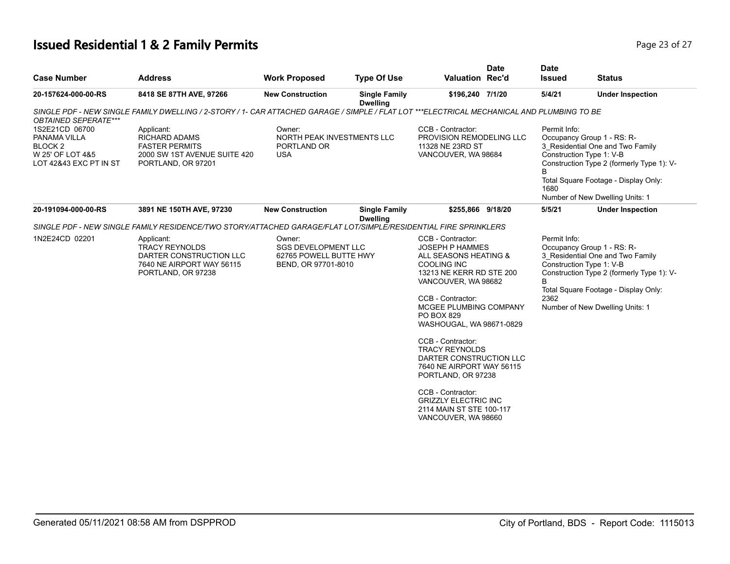# **Issued Residential 1 & 2 Family Permits Page 23 of 27 Page 23 of 27**

| <b>Case Number</b>                                                                                 | <b>Address</b>                                                                                                                             | <b>Work Proposed</b>                                                                  | <b>Type Of Use</b>                      | <b>Valuation Rec'd</b>                                                                                                                                                                                                                                                                                                                                                                                                                                                    | <b>Date</b> | <b>Date</b><br><b>Issued</b> | <b>Status</b>                                                                                                                                                                                                      |
|----------------------------------------------------------------------------------------------------|--------------------------------------------------------------------------------------------------------------------------------------------|---------------------------------------------------------------------------------------|-----------------------------------------|---------------------------------------------------------------------------------------------------------------------------------------------------------------------------------------------------------------------------------------------------------------------------------------------------------------------------------------------------------------------------------------------------------------------------------------------------------------------------|-------------|------------------------------|--------------------------------------------------------------------------------------------------------------------------------------------------------------------------------------------------------------------|
| 20-157624-000-00-RS                                                                                | 8418 SE 87TH AVE, 97266                                                                                                                    | <b>New Construction</b>                                                               | <b>Single Family</b><br><b>Dwelling</b> | \$196,240 7/1/20                                                                                                                                                                                                                                                                                                                                                                                                                                                          |             | 5/4/21                       | <b>Under Inspection</b>                                                                                                                                                                                            |
| <b>OBTAINED SEPERATE***</b>                                                                        | SINGLE PDF - NEW SINGLE FAMILY DWELLING / 2-STORY / 1- CAR ATTACHED GARAGE / SIMPLE / FLAT LOT ***ELECTRICAL MECHANICAL AND PLUMBING TO BE |                                                                                       |                                         |                                                                                                                                                                                                                                                                                                                                                                                                                                                                           |             |                              |                                                                                                                                                                                                                    |
| 1S2E21CD 06700<br>PANAMA VILLA<br>BLOCK <sub>2</sub><br>W 25' OF LOT 4&5<br>LOT 42&43 EXC PT IN ST | Applicant:<br><b>RICHARD ADAMS</b><br><b>FASTER PERMITS</b><br>2000 SW 1ST AVENUE SUITE 420<br>PORTLAND, OR 97201                          | Owner:<br>NORTH PEAK INVESTMENTS LLC<br>PORTLAND OR<br><b>USA</b>                     |                                         | CCB - Contractor:<br>PROVISION REMODELING LLC<br>11328 NE 23RD ST<br>VANCOUVER, WA 98684                                                                                                                                                                                                                                                                                                                                                                                  |             | Permit Info:<br>B<br>1680    | Occupancy Group 1 - RS: R-<br>3 Residential One and Two Family<br>Construction Type 1: V-B<br>Construction Type 2 (formerly Type 1): V-<br>Total Square Footage - Display Only:<br>Number of New Dwelling Units: 1 |
| 20-191094-000-00-RS                                                                                | 3891 NE 150TH AVE, 97230                                                                                                                   | <b>New Construction</b>                                                               | <b>Single Family</b><br><b>Dwelling</b> | \$255,866 9/18/20                                                                                                                                                                                                                                                                                                                                                                                                                                                         |             | 5/5/21                       | <b>Under Inspection</b>                                                                                                                                                                                            |
|                                                                                                    | SINGLE PDF - NEW SINGLE FAMILY RESIDENCE/TWO STORY/ATTACHED GARAGE/FLAT LOT/SIMPLE/RESIDENTIAL FIRE SPRINKLERS                             |                                                                                       |                                         |                                                                                                                                                                                                                                                                                                                                                                                                                                                                           |             |                              |                                                                                                                                                                                                                    |
| 1N2E24CD 02201                                                                                     | Applicant:<br><b>TRACY REYNOLDS</b><br>DARTER CONSTRUCTION LLC<br>7640 NE AIRPORT WAY 56115<br>PORTLAND, OR 97238                          | Owner:<br><b>SGS DEVELOPMENT LLC</b><br>62765 POWELL BUTTE HWY<br>BEND, OR 97701-8010 |                                         | CCB - Contractor:<br><b>JOSEPH P HAMMES</b><br>ALL SEASONS HEATING &<br><b>COOLING INC</b><br>13213 NE KERR RD STE 200<br>VANCOUVER, WA 98682<br>CCB - Contractor:<br>MCGEE PLUMBING COMPANY<br>PO BOX 829<br>WASHOUGAL, WA 98671-0829<br>CCB - Contractor:<br><b>TRACY REYNOLDS</b><br>DARTER CONSTRUCTION LLC<br>7640 NE AIRPORT WAY 56115<br>PORTLAND, OR 97238<br>CCB - Contractor:<br><b>GRIZZLY ELECTRIC INC</b><br>2114 MAIN ST STE 100-117<br>VANCOUVER, WA 98660 |             | Permit Info:<br>B<br>2362    | Occupancy Group 1 - RS: R-<br>3_Residential One and Two Family<br>Construction Type 1: V-B<br>Construction Type 2 (formerly Type 1): V-<br>Total Square Footage - Display Only:<br>Number of New Dwelling Units: 1 |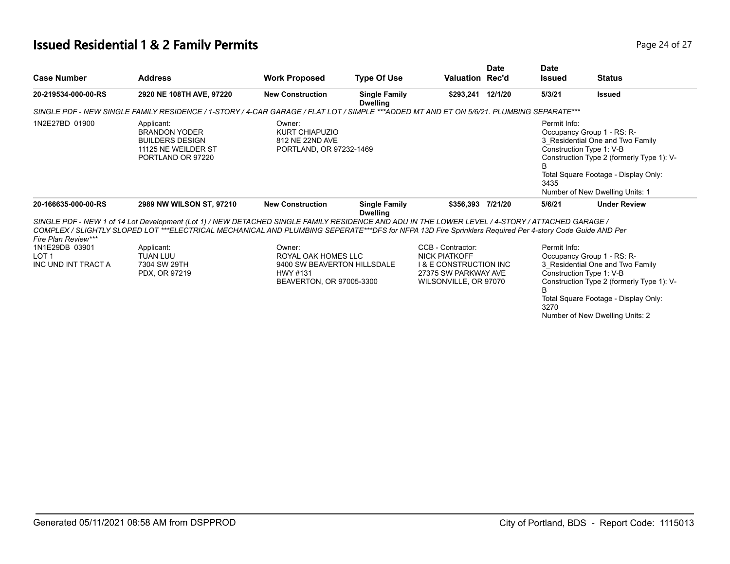# **Issued Residential 1 & 2 Family Permits Page 24 of 27 Page 24 of 27**

| <b>Case Number</b>                                                               | <b>Address</b>                                                                                                                                                                                                                                                                                              | <b>Work Proposed</b>                                                                                 | <b>Type Of Use</b>                      | <b>Valuation Rec'd</b>                                                                                                         | <b>Date</b> | <b>Date</b><br><b>Issued</b> | <b>Status</b>                                                                                                                                                                                                      |
|----------------------------------------------------------------------------------|-------------------------------------------------------------------------------------------------------------------------------------------------------------------------------------------------------------------------------------------------------------------------------------------------------------|------------------------------------------------------------------------------------------------------|-----------------------------------------|--------------------------------------------------------------------------------------------------------------------------------|-------------|------------------------------|--------------------------------------------------------------------------------------------------------------------------------------------------------------------------------------------------------------------|
| 20-219534-000-00-RS                                                              | 2920 NE 108TH AVE, 97220                                                                                                                                                                                                                                                                                    | <b>New Construction</b>                                                                              | <b>Single Family</b><br><b>Dwelling</b> | \$293,241 12/1/20                                                                                                              |             | 5/3/21                       | <b>Issued</b>                                                                                                                                                                                                      |
|                                                                                  | SINGLE PDF - NEW SINGLE FAMILY RESIDENCE / 1-STORY / 4-CAR GARAGE / FLAT LOT / SIMPLE ***ADDED MT AND ET ON 5/6/21. PLUMBING SEPARATE***                                                                                                                                                                    |                                                                                                      |                                         |                                                                                                                                |             |                              |                                                                                                                                                                                                                    |
| 1N2E27BD 01900                                                                   | Applicant:<br><b>BRANDON YODER</b><br><b>BUILDERS DESIGN</b><br>11125 NE WEILDER ST<br>PORTLAND OR 97220                                                                                                                                                                                                    | Owner:<br><b>KURT CHIAPUZIO</b><br>812 NE 22ND AVE<br>PORTLAND, OR 97232-1469                        |                                         |                                                                                                                                |             | Permit Info:<br>В<br>3435    | Occupancy Group 1 - RS: R-<br>3 Residential One and Two Family<br>Construction Type 1: V-B<br>Construction Type 2 (formerly Type 1): V-<br>Total Square Footage - Display Only:<br>Number of New Dwelling Units: 1 |
| 20-166635-000-00-RS                                                              | 2989 NW WILSON ST, 97210                                                                                                                                                                                                                                                                                    | <b>New Construction</b>                                                                              | <b>Single Family</b><br><b>Dwelling</b> | \$356.393 7/21/20                                                                                                              |             | 5/6/21                       | <b>Under Review</b>                                                                                                                                                                                                |
|                                                                                  | SINGLE PDF - NEW 1 of 14 Lot Development (Lot 1) / NEW DETACHED SINGLE FAMILY RESIDENCE AND ADU IN THE LOWER LEVEL / 4-STORY / ATTACHED GARAGE /<br>COMPLEX / SLIGHTLY SLOPED LOT ***ELECTRICAL MECHANICAL AND PLUMBING SEPERATE***DFS for NFPA 13D Fire Sprinklers Required Per 4-story Code Guide AND Per |                                                                                                      |                                         |                                                                                                                                |             |                              |                                                                                                                                                                                                                    |
| Fire Plan Review***<br>1N1E29DB 03901<br>LOT <sub>1</sub><br>INC UND INT TRACT A | Applicant:<br><b>TUAN LUU</b><br>7304 SW 29TH<br>PDX, OR 97219                                                                                                                                                                                                                                              | Owner:<br>ROYAL OAK HOMES LLC<br>9400 SW BEAVERTON HILLSDALE<br>HWY #131<br>BEAVERTON, OR 97005-3300 |                                         | CCB - Contractor:<br><b>NICK PIATKOFF</b><br><b>1&amp; E CONSTRUCTION INC</b><br>27375 SW PARKWAY AVE<br>WILSONVILLE, OR 97070 |             | Permit Info:<br>B.<br>3270   | Occupancy Group 1 - RS: R-<br>3 Residential One and Two Family<br>Construction Type 1: V-B<br>Construction Type 2 (formerly Type 1): V-<br>Total Square Footage - Display Only:<br>Number of New Dwelling Units: 2 |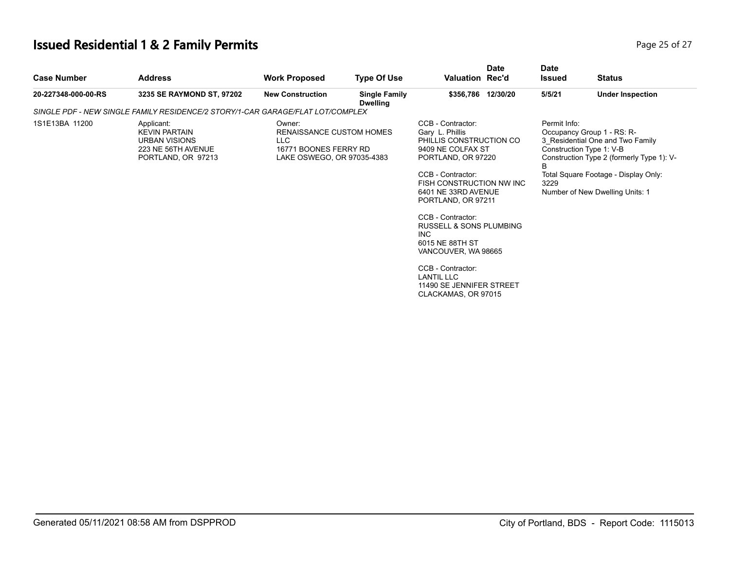# **Issued Residential 1 & 2 Family Permits**

| Page 25 of 27 |  |  |
|---------------|--|--|
|               |  |  |

| <b>Case Number</b>  | <b>Address</b>                                                                                         | <b>Work Proposed</b>                                                                              | <b>Type Of Use</b>                      | <b>Valuation Rec'd</b>                                                                                                                                                                                                                                                                                                                                                                                                   | <b>Date</b> | <b>Date</b><br>Issued     | <b>Status</b>                                                                                                                                                                                                      |
|---------------------|--------------------------------------------------------------------------------------------------------|---------------------------------------------------------------------------------------------------|-----------------------------------------|--------------------------------------------------------------------------------------------------------------------------------------------------------------------------------------------------------------------------------------------------------------------------------------------------------------------------------------------------------------------------------------------------------------------------|-------------|---------------------------|--------------------------------------------------------------------------------------------------------------------------------------------------------------------------------------------------------------------|
| 20-227348-000-00-RS | 3235 SE RAYMOND ST, 97202                                                                              | <b>New Construction</b>                                                                           | <b>Single Family</b><br><b>Dwelling</b> | \$356,786 12/30/20                                                                                                                                                                                                                                                                                                                                                                                                       |             | 5/5/21                    | <b>Under Inspection</b>                                                                                                                                                                                            |
|                     | SINGLE PDF - NEW SINGLE FAMILY RESIDENCE/2 STORY/1-CAR GARAGE/FLAT LOT/COMPLEX                         |                                                                                                   |                                         |                                                                                                                                                                                                                                                                                                                                                                                                                          |             |                           |                                                                                                                                                                                                                    |
| 1S1E13BA 11200      | Applicant:<br><b>KEVIN PARTAIN</b><br><b>URBAN VISIONS</b><br>223 NE 56TH AVENUE<br>PORTLAND, OR 97213 | Owner:<br>RENAISSANCE CUSTOM HOMES<br>LLC.<br>16771 BOONES FERRY RD<br>LAKE OSWEGO, OR 97035-4383 |                                         | CCB - Contractor:<br>Gary L. Phillis<br>PHILLIS CONSTRUCTION CO<br>9409 NE COLFAX ST<br>PORTLAND, OR 97220<br>CCB - Contractor:<br>FISH CONSTRUCTION NW INC<br>6401 NE 33RD AVENUE<br>PORTLAND, OR 97211<br>CCB - Contractor:<br><b>RUSSELL &amp; SONS PLUMBING</b><br><b>INC</b><br>6015 NE 88TH ST<br>VANCOUVER, WA 98665<br>CCB - Contractor:<br><b>LANTIL LLC</b><br>11490 SE JENNIFER STREET<br>CLACKAMAS, OR 97015 |             | Permit Info:<br>B<br>3229 | Occupancy Group 1 - RS: R-<br>3 Residential One and Two Family<br>Construction Type 1: V-B<br>Construction Type 2 (formerly Type 1): V-<br>Total Square Footage - Display Only:<br>Number of New Dwelling Units: 1 |
|                     |                                                                                                        |                                                                                                   |                                         |                                                                                                                                                                                                                                                                                                                                                                                                                          |             |                           |                                                                                                                                                                                                                    |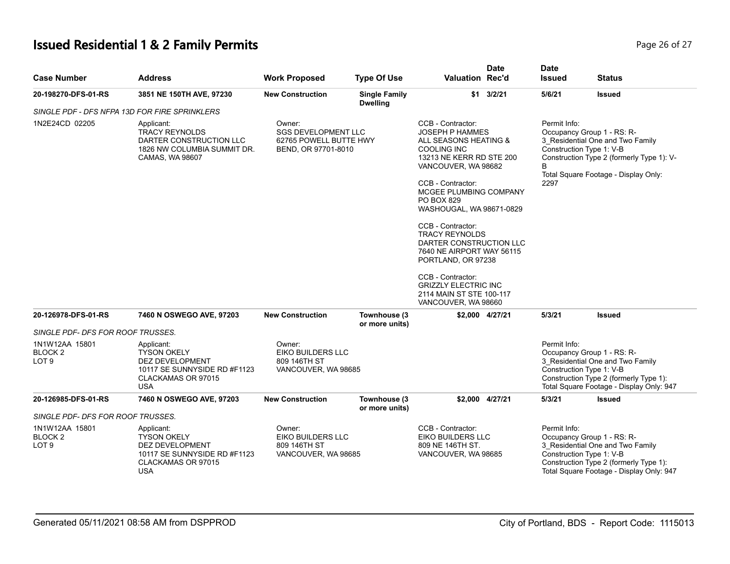# **Issued Residential 1 & 2 Family Permits Page 26 of 27 Page 26 of 27**

| <b>Case Number</b>                                       | <b>Address</b>                                                                                                                 | <b>Work Proposed</b>                                                                  | <b>Type Of Use</b>                      | <b>Valuation Rec'd</b>                                                                                                                                                                                                                                                                                                                                                                                                                                                    | <b>Date</b>       | <b>Date</b><br><b>Issued</b> | <b>Status</b>                                                                                                                                                                    |
|----------------------------------------------------------|--------------------------------------------------------------------------------------------------------------------------------|---------------------------------------------------------------------------------------|-----------------------------------------|---------------------------------------------------------------------------------------------------------------------------------------------------------------------------------------------------------------------------------------------------------------------------------------------------------------------------------------------------------------------------------------------------------------------------------------------------------------------------|-------------------|------------------------------|----------------------------------------------------------------------------------------------------------------------------------------------------------------------------------|
| 20-198270-DFS-01-RS                                      | 3851 NE 150TH AVE, 97230                                                                                                       | <b>New Construction</b>                                                               | <b>Single Family</b><br><b>Dwelling</b> |                                                                                                                                                                                                                                                                                                                                                                                                                                                                           | $$1 \quad 3/2/21$ | 5/6/21                       | <b>Issued</b>                                                                                                                                                                    |
|                                                          | SINGLE PDF - DFS NFPA 13D FOR FIRE SPRINKLERS                                                                                  |                                                                                       |                                         |                                                                                                                                                                                                                                                                                                                                                                                                                                                                           |                   |                              |                                                                                                                                                                                  |
| 1N2E24CD 02205                                           | Applicant:<br><b>TRACY REYNOLDS</b><br>DARTER CONSTRUCTION LLC<br>1826 NW COLUMBIA SUMMIT DR.<br>CAMAS, WA 98607               | Owner:<br><b>SGS DEVELOPMENT LLC</b><br>62765 POWELL BUTTE HWY<br>BEND, OR 97701-8010 |                                         | CCB - Contractor:<br><b>JOSEPH P HAMMES</b><br>ALL SEASONS HEATING &<br><b>COOLING INC</b><br>13213 NE KERR RD STE 200<br>VANCOUVER, WA 98682<br>CCB - Contractor:<br>MCGEE PLUMBING COMPANY<br>PO BOX 829<br>WASHOUGAL, WA 98671-0829<br>CCB - Contractor:<br><b>TRACY REYNOLDS</b><br>DARTER CONSTRUCTION LLC<br>7640 NE AIRPORT WAY 56115<br>PORTLAND, OR 97238<br>CCB - Contractor:<br><b>GRIZZLY ELECTRIC INC</b><br>2114 MAIN ST STE 100-117<br>VANCOUVER, WA 98660 |                   | Permit Info:<br>B<br>2297    | Occupancy Group 1 - RS: R-<br>3_Residential One and Two Family<br>Construction Type 1: V-B<br>Construction Type 2 (formerly Type 1): V-<br>Total Square Footage - Display Only:  |
| 20-126978-DFS-01-RS                                      | 7460 N OSWEGO AVE, 97203                                                                                                       | <b>New Construction</b>                                                               | Townhouse (3<br>or more units)          |                                                                                                                                                                                                                                                                                                                                                                                                                                                                           | \$2,000 4/27/21   | 5/3/21                       | <b>Issued</b>                                                                                                                                                                    |
| SINGLE PDF- DFS FOR ROOF TRUSSES.                        |                                                                                                                                |                                                                                       |                                         |                                                                                                                                                                                                                                                                                                                                                                                                                                                                           |                   |                              |                                                                                                                                                                                  |
| 1N1W12AA 15801<br>BLOCK <sub>2</sub><br>LOT <sub>9</sub> | Applicant:<br><b>TYSON OKELY</b><br><b>DEZ DEVELOPMENT</b><br>10117 SE SUNNYSIDE RD #F1123<br>CLACKAMAS OR 97015<br><b>USA</b> | Owner:<br>EIKO BUILDERS LLC<br>809 146TH ST<br>VANCOUVER, WA 98685                    |                                         |                                                                                                                                                                                                                                                                                                                                                                                                                                                                           |                   | Permit Info:                 | Occupancy Group 1 - RS: R-<br>3_Residential One and Two Family<br>Construction Type 1: V-B<br>Construction Type 2 (formerly Type 1):<br>Total Square Footage - Display Only: 947 |
| 20-126985-DFS-01-RS                                      | 7460 N OSWEGO AVE, 97203                                                                                                       | <b>New Construction</b>                                                               | Townhouse (3<br>or more units)          |                                                                                                                                                                                                                                                                                                                                                                                                                                                                           | \$2,000 4/27/21   | 5/3/21                       | <b>Issued</b>                                                                                                                                                                    |
| SINGLE PDF- DFS FOR ROOF TRUSSES.                        |                                                                                                                                |                                                                                       |                                         |                                                                                                                                                                                                                                                                                                                                                                                                                                                                           |                   |                              |                                                                                                                                                                                  |
| 1N1W12AA 15801<br><b>BLOCK2</b><br>LOT <sub>9</sub>      | Applicant:<br><b>TYSON OKELY</b><br>DEZ DEVELOPMENT<br>10117 SE SUNNYSIDE RD #F1123<br>CLACKAMAS OR 97015<br><b>USA</b>        | Owner:<br>EIKO BUILDERS LLC<br>809 146TH ST<br>VANCOUVER, WA 98685                    |                                         | CCB - Contractor:<br>EIKO BUILDERS LLC<br>809 NE 146TH ST.<br>VANCOUVER, WA 98685                                                                                                                                                                                                                                                                                                                                                                                         |                   | Permit Info:                 | Occupancy Group 1 - RS: R-<br>3 Residential One and Two Family<br>Construction Type 1: V-B<br>Construction Type 2 (formerly Type 1):<br>Total Square Footage - Display Only: 947 |